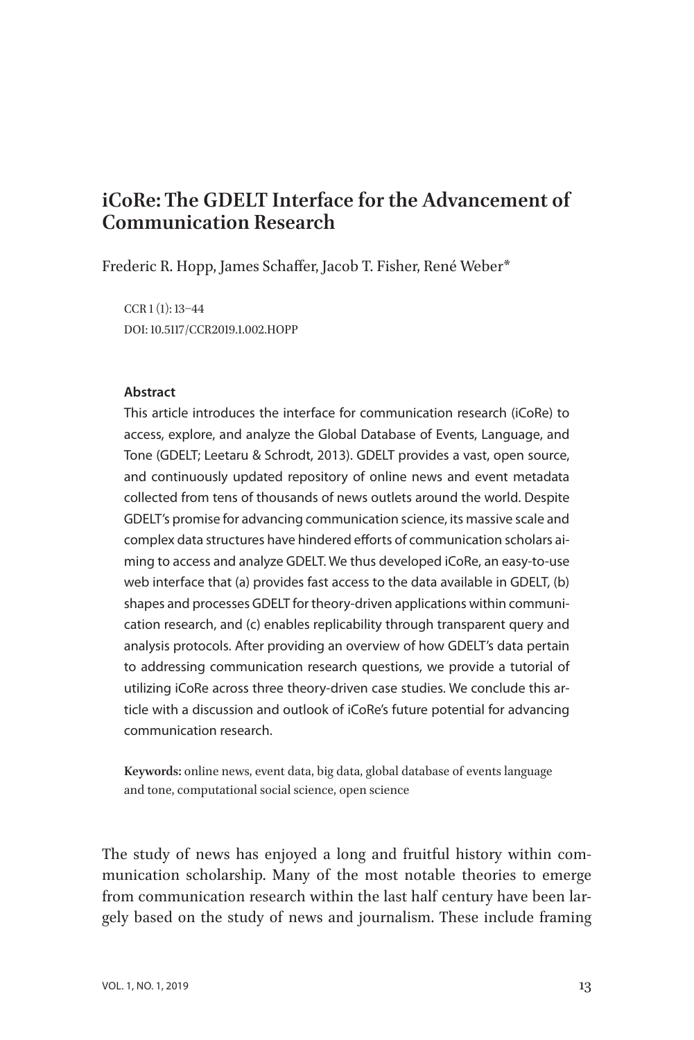# **iCoRe: The GDELT Interface for the Advancement of Communication Research**

Frederic R. Hopp, James Schaffer, Jacob T. Fisher, René Weber[\\*](#page-27-0)

CCR 1 (1): 13[–44](#page-31-0) [DOI: 1](doi)0.5117/CCR2019.1.002.HOPP

#### **Abstract**

This article introduces the interface for communication research (iCoRe) to access, explore, and analyze the Global Database of Events, Language, and Tone (GDELT; [Leetaru & Schrodt, 2013\)](#page-29-0). GDELT provides a vast, open source, and continuously updated repository of online news and event metadata collected from tens of thousands of news outlets around the world. Despite GDELT's promise for advancing communication science, its massive scale and complex data structures have hindered efforts of communication scholars aiming to access and analyze GDELT. We thus developed iCoRe, an easy-to-use web interface that (a) provides fast access to the data available in GDELT, (b) shapes and processes GDELT for theory-driven applications within communication research, and (c) enables replicability through transparent query and analysis protocols. After providing an overview of how GDELT's data pertain to addressing communication research questions, we provide a tutorial of utilizing iCoRe across three theory-driven case studies. We conclude this article with a discussion and outlook of iCoRe's future potential for advancing communication research.

**Keywords:** online news, event data, big data, global database of events language and tone, computational social science, open science

The study of news has enjoyed a long and fruitful history within communication scholarship. Many of the most notable theories to emerge from communication research within the last half century have been largely based on the study of news and journalism. These include framing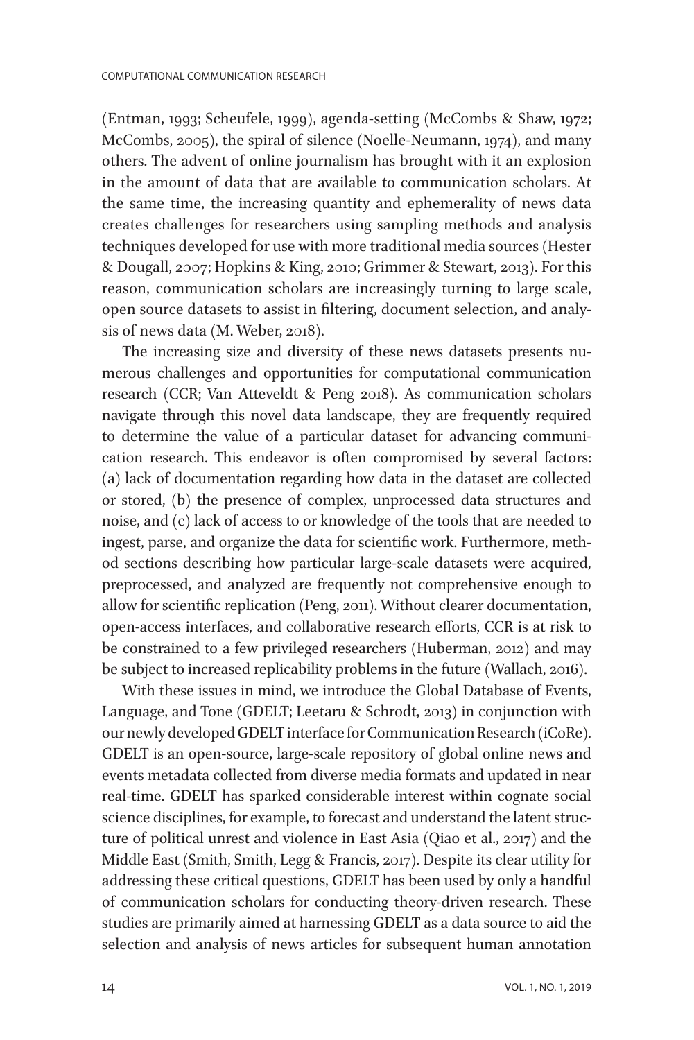([Entman, 1993;](#page-28-0) [Scheufele, 1999\)](#page-30-0), agenda-setting ([McCombs & Shaw, 1972](#page-30-1); [McCombs, 2005](#page-30-2)), the spiral of silence [\(Noelle-Neumann, 1974](#page-30-3)), and many others. The advent of online journalism has brought with it an explosion in the amount of data that are available to communication scholars. At the same time, the increasing quantity and ephemerality of news data creates challenges for researchers using sampling methods and analysis techniques developed for use with more traditional media sources [\(Hester](#page-29-1) [& Dougall, 2007;](#page-29-1) [Hopkins & King, 2010;](#page-29-2) [Grimmer & Stewart, 2013](#page-29-3)). For this reason, communication scholars are increasingly turning to large scale, open source datasets to assist in filtering, document selection, and analysis of news data (M. [Weber, 2018](#page-31-1)).

The increasing size and diversity of these news datasets presents numerous challenges and opportunities for computational communication research (CCR; [Van Atteveldt & Peng 2018](#page-31-2)). As communication scholars navigate through this novel data landscape, they are frequently required to determine the value of a particular dataset for advancing communication research. This endeavor is often compromised by several factors: (a) lack of documentation regarding how data in the dataset are collected or stored, (b) the presence of complex, unprocessed data structures and noise, and (c) lack of access to or knowledge of the tools that are needed to ingest, parse, and organize the data for scientific work. Furthermore, method sections describing how particular large-scale datasets were acquired, preprocessed, and analyzed are frequently not comprehensive enough to allow for scientific replication [\(Peng, 2011](#page-30-4)). Without clearer documentation, open-access interfaces, and collaborative research efforts, CCR is at risk to be constrained to a few privileged researchers ([Huberman, 2012](#page-29-4)) and may be subject to increased replicability problems in the future ([Wallach, 2016\)](#page-31-3).

With these issues in mind, we introduce the Global Database of Events, Language, and Tone (GDELT; [Leetaru & Schrodt, 2013](#page-29-0)) in conjunction with our newly developed GDELT interface for Communication Research (iCoRe). GDELT is an open-source, large-scale repository of global online news and events metadata collected from diverse media formats and updated in near real-time. GDELT has sparked considerable interest within cognate social science disciplines, for example, to forecast and understand the latent structure of political unrest and violence in East Asia [\(Qiao et al., 2017\)](#page-30-5) and the Middle East [\(Smith, Smith, Legg & Francis, 2017\)](#page-30-6). Despite its clear utility for addressing these critical questions, GDELT has been used by only a handful of communication scholars for conducting theory-driven research. These studies are primarily aimed at harnessing GDELT as a data source to aid the selection and analysis of news articles for subsequent human annotation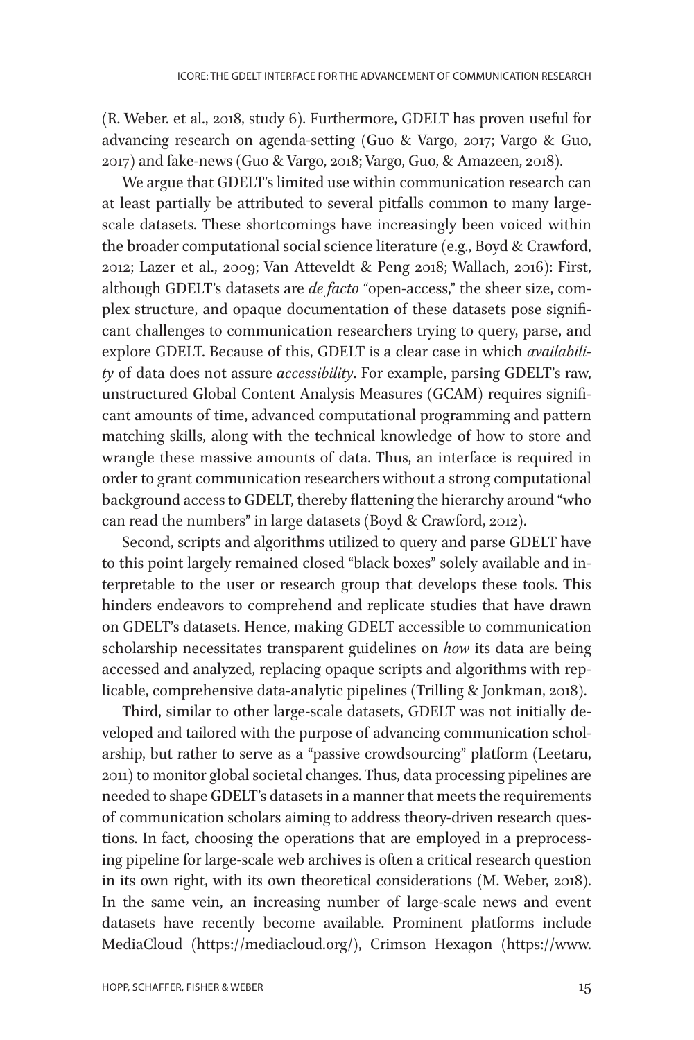([R. Weber. et al., 2018,](#page-31-1) study 6). Furthermore, GDELT has proven useful for advancing research on agenda-setting (Guo & [Vargo, 2017](#page-31-4); [Vargo & Guo,](#page-31-4) [2017\)](#page-31-4) and fake-news (Guo & [Vargo, 2018; Vargo, Guo, & Amazeen, 2018\)](#page-31-5).

We argue that GDELT's limited use within communication research can at least partially be attributed to several pitfalls common to many largescale datasets. These shortcomings have increasingly been voiced within the broader computational social science literature (e.g., B[oyd & Crawford,](#page-28-1) [2012](#page-28-1); [Lazer et al., 2009;](#page-29-5) [Van Atteveldt & Peng 2018](#page-31-2); [Wallach, 2016\)](#page-31-3): First, although GDELT's datasets are *de facto* "open-access," the sheer size, complex structure, and opaque documentation of these datasets pose significant challenges to communication researchers trying to query, parse, and explore GDELT. Because of this, GDELT is a clear case in which *availability* of data does not assure *accessibility*. For example, parsing GDELT's raw, unstructured Global Content Analysis Measures (GCAM) requires significant amounts of time, advanced computational programming and pattern matching skills, along with the technical knowledge of how to store and wrangle these massive amounts of data. Thus, an interface is required in order to grant communication researchers without a strong computational background access to GDELT, thereby flattening the hierarchy around "who can read the numbers" in large datasets (B[oyd & Crawford, 2012](#page-28-1)).

Second, scripts and algorithms utilized to query and parse GDELT have to this point largely remained closed "black boxes" solely available and interpretable to the user or research group that develops these tools. This hinders endeavors to comprehend and replicate studies that have drawn on GDELT's datasets. Hence, making GDELT accessible to communication scholarship necessitates transparent guidelines on *how* its data are being accessed and analyzed, replacing opaque scripts and algorithms with replicable, comprehensive data-analytic pipelines [\(Trilling & Jonkman, 2018\)](#page-30-7).

Third, similar to other large-scale datasets, GDELT was not initially developed and tailored with the purpose of advancing communication scholarship, but rather to serve as a "passive crowdsourcing" platform [\(Leetaru,](#page-29-6) [2011](#page-29-6)) to monitor global societal changes. Thus, data processing pipelines are needed to shape GDELT's datasets in a manner that meets the requirements of communication scholars aiming to address theory-driven research questions. In fact, choosing the operations that are employed in a preprocessing pipeline for large-scale web archives is often a critical research question in its own right, with its own theoretical considerations (M. [Weber, 2018](#page-31-1)). In the same vein, an increasing number of large-scale news and event datasets have recently become available. Prominent platforms include MediaCloud [\(https://mediacloud.org/](https://mediacloud.org/)), Crimson Hexagon [\(https://www.](https://www.crimsonhexagon.com/)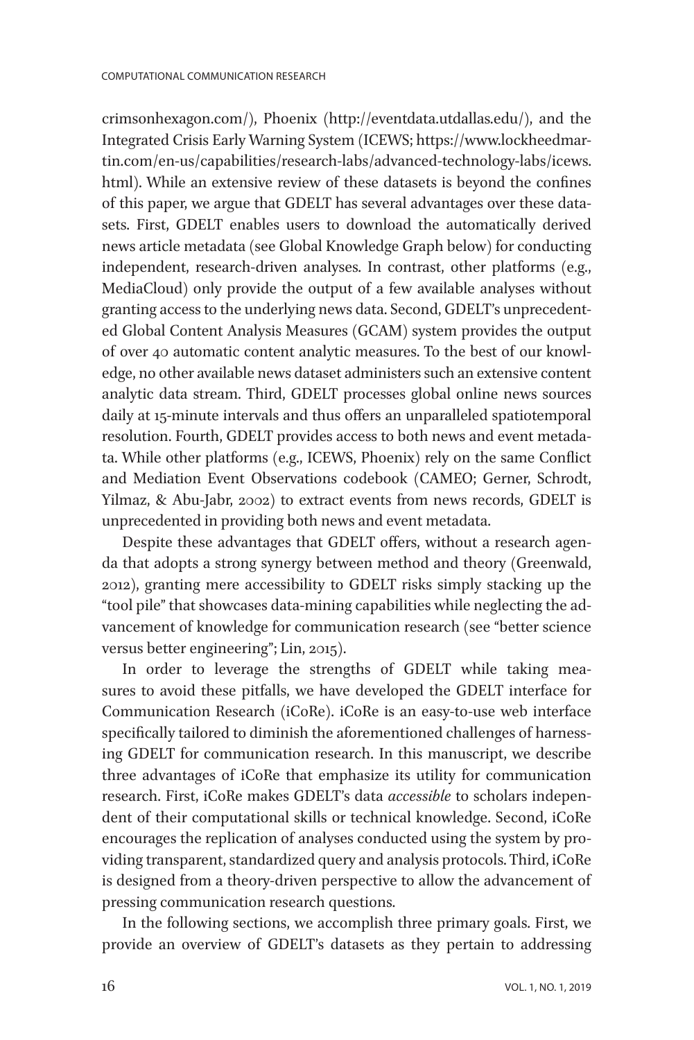[crimsonhexagon.com/](https://www.crimsonhexagon.com/)), Phoenix (<http://eventdata.utdallas.edu/>), and the Integrated Crisis Early Warning System (ICEWS; [https://www.lockheedmar](https://www.lockheedmartin.com/en-us/capabilities/research-labs/advanced-technology-labs/icews.html)[tin.com/en-us/capabilities/research-labs/advanced-technology-labs/icews.](https://www.lockheedmartin.com/en-us/capabilities/research-labs/advanced-technology-labs/icews.html) [html\)](https://www.lockheedmartin.com/en-us/capabilities/research-labs/advanced-technology-labs/icews.html). While an extensive review of these datasets is beyond the confines of this paper, we argue that GDELT has several advantages over these datasets. First, GDELT enables users to download the automatically derived news article metadata (see Global Knowledge Graph below) for conducting independent, research-driven analyses. In contrast, other platforms (e.g., MediaCloud) only provide the output of a few available analyses without granting access to the underlying news data. Second, GDELT's unprecedented Global Content Analysis Measures (GCAM) system provides the output of over 40 automatic content analytic measures. To the best of our knowledge, no other available news dataset administers such an extensive content analytic data stream. Third, GDELT processes global online news sources daily at 15-minute intervals and thus offers an unparalleled spatiotemporal resolution. Fourth, GDELT provides access to both news and event metadata. While other platforms (e.g., ICEWS, Phoenix) rely on the same Conflict and Mediation Event Observations codebook (CAMEO; [Gerner, Schrodt,](#page-28-2) [Yilmaz, & Abu-Jabr, 2002](#page-28-2)) to extract events from news records, GDELT is unprecedented in providing both news and event metadata.

Despite these advantages that GDELT offers, without a research agenda that adopts a strong synergy between method and theory [\(Greenwald,](#page-29-7) [2012](#page-29-7)), granting mere accessibility to GDELT risks simply stacking up the "tool pile" that showcases data-mining capabilities while neglecting the advancement of knowledge for communication research (see "better science versus better engineering"; [Lin, 2015](#page-29-8)).

In order to leverage the strengths of GDELT while taking measures to avoid these pitfalls, we have developed the GDELT interface for Communication Research (iCoRe). iCoRe is an easy-to-use web interface specifically tailored to diminish the aforementioned challenges of harnessing GDELT for communication research. In this manuscript, we describe three advantages of iCoRe that emphasize its utility for communication research. First, iCoRe makes GDELT's data *accessible* to scholars independent of their computational skills or technical knowledge. Second, iCoRe encourages the replication of analyses conducted using the system by providing transparent, standardized query and analysis protocols. Third, iCoRe is designed from a theory-driven perspective to allow the advancement of pressing communication research questions.

In the following sections, we accomplish three primary goals. First, we provide an overview of GDELT's datasets as they pertain to addressing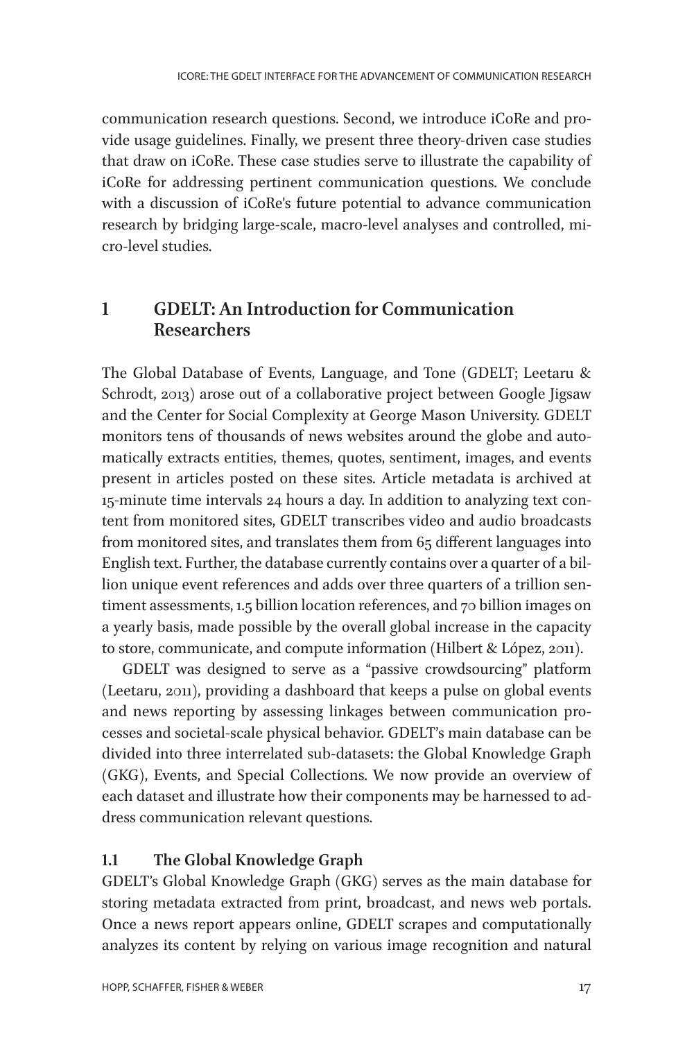communication research questions. Second, we introduce iCoRe and provide usage guidelines. Finally, we present three theory-driven case studies that draw on iCoRe. These case studies serve to illustrate the capability of iCoRe for addressing pertinent communication questions. We conclude with a discussion of iCoRe's future potential to advance communication research by bridging large-scale, macro-level analyses and controlled, micro-level studies.

# **1 GDELT: An Introduction for Communication Researchers**

The Global Database of Events, Language, and Tone (GDELT; [Leetaru &](#page-29-0) [Schrodt, 2013\)](#page-29-0) arose out of a collaborative project between Google Jigsaw and the Center for Social Complexity at George Mason University. GDELT monitors tens of thousands of news websites around the globe and automatically extracts entities, themes, quotes, sentiment, images, and events present in articles posted on these sites. Article metadata is archived at 15-minute time intervals 24 hours a day. In addition to analyzing text content from monitored sites, GDELT transcribes video and audio broadcasts from monitored sites, and translates them from 65 different languages into English text. Further, the database currently contains over a quarter of a billion unique event references and adds over three quarters of a trillion sentiment assessments, 1.5 billion location references, and 70 billion images on a yearly basis, made possible by the overall global increase in the capacity to store, communicate, and compute information ([Hilbert & López, 2011](#page-29-9)).

GDELT was designed to serve as a "passive crowdsourcing" platform ([Leetaru, 2011](#page-29-6)), providing a dashboard that keeps a pulse on global events and news reporting by assessing linkages between communication processes and societal-scale physical behavior. GDELT's main database can be divided into three interrelated sub-datasets: the Global Knowledge Graph (GKG), Events, and Special Collections. We now provide an overview of each dataset and illustrate how their components may be harnessed to address communication relevant questions.

## **1.1 The Global Knowledge Graph**

GDELT's Global Knowledge Graph (GKG) serves as the main database for storing metadata extracted from print, broadcast, and news web portals. Once a news report appears online, GDELT scrapes and computationally analyzes its content by relying on various image recognition and natural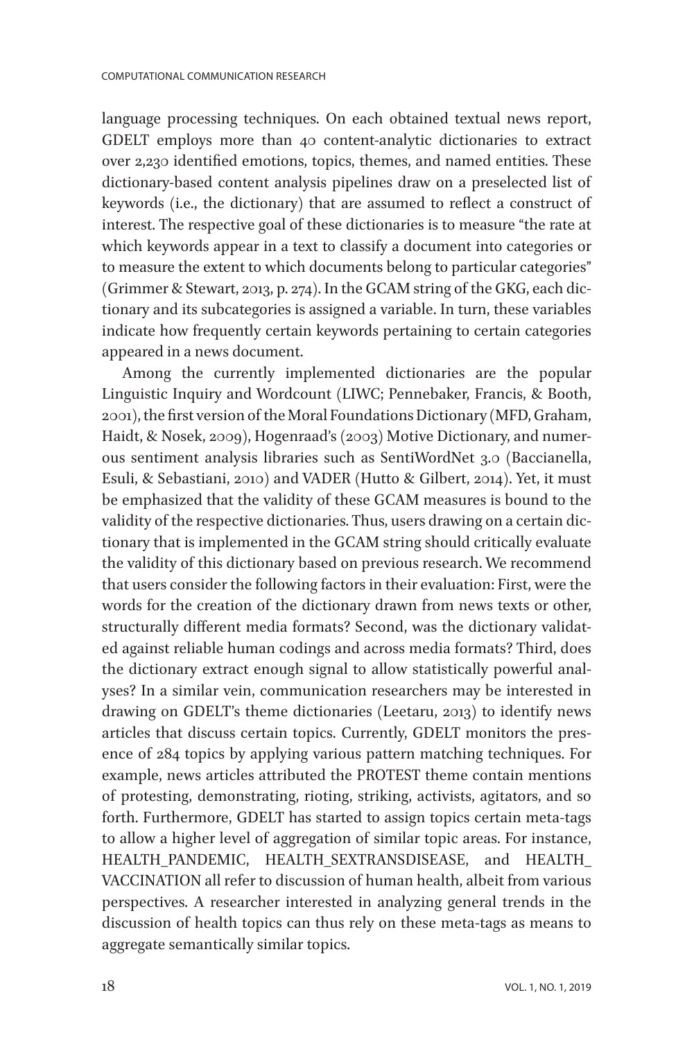language processing techniques. On each obtained textual news report, GDELT employs more than 40 content-analytic dictionaries to extract over 2,230 identified emotions, topics, themes, and named entities. These dictionary-based content analysis pipelines draw on a preselected list of keywords (i.e., the dictionary) that are assumed to reflect a construct of interest. The respective goal of these dictionaries is to measure "the rate at which keywords appear in a text to classify a document into categories or to measure the extent to which documents belong to particular categories" ([Grimmer & Stewart, 2013](#page-29-3), p. 274). In the GCAM string of the GKG, each dictionary and its subcategories is assigned a variable. In turn, these variables indicate how frequently certain keywords pertaining to certain categories appeared in a news document.

Among the currently implemented dictionaries are the popular Linguistic Inquiry and Wordcount (LIWC; [Pennebaker, Francis, & Booth,](#page-30-8) [2001](#page-30-8)), the first version of the Moral Foundations Dictionary (MFD, [Graham,](#page-29-10) [Haidt, & Nosek, 2009](#page-29-10)), [Hogenraad's \(2003\)](#page-29-11) Motive Dictionary, and numerous sentiment analysis libraries such as SentiWordNet 3.0 [\(Baccianella,](#page-27-1) [Esuli, & Sebastiani, 2010](#page-27-1)) and VADER ([Hutto & Gilbert, 2014\)](#page-29-12). Yet, it must be emphasized that the validity of these GCAM measures is bound to the validity of the respective dictionaries. Thus, users drawing on a certain dictionary that is implemented in the GCAM string should critically evaluate the validity of this dictionary based on previous research. We recommend that users consider the following factors in their evaluation: First, were the words for the creation of the dictionary drawn from news texts or other, structurally different media formats? Second, was the dictionary validated against reliable human codings and across media formats? Third, does the dictionary extract enough signal to allow statistically powerful analyses? In a similar vein, communication researchers may be interested in drawing on GDELT's theme dictionaries [\(Leetaru, 2013\)](#page-29-0) to identify news articles that discuss certain topics. Currently, GDELT monitors the presence of 284 topics by applying various pattern matching techniques. For example, news articles attributed the PROTEST theme contain mentions of protesting, demonstrating, rioting, striking, activists, agitators, and so forth. Furthermore, GDELT has started to assign topics certain meta-tags to allow a higher level of aggregation of similar topic areas. For instance, HEALTH\_PANDEMIC, HEALTH\_SEXTRANSDISEASE, and HEALTH\_ VACCINATION all refer to discussion of human health, albeit from various perspectives. A researcher interested in analyzing general trends in the discussion of health topics can thus rely on these meta-tags as means to aggregate semantically similar topics.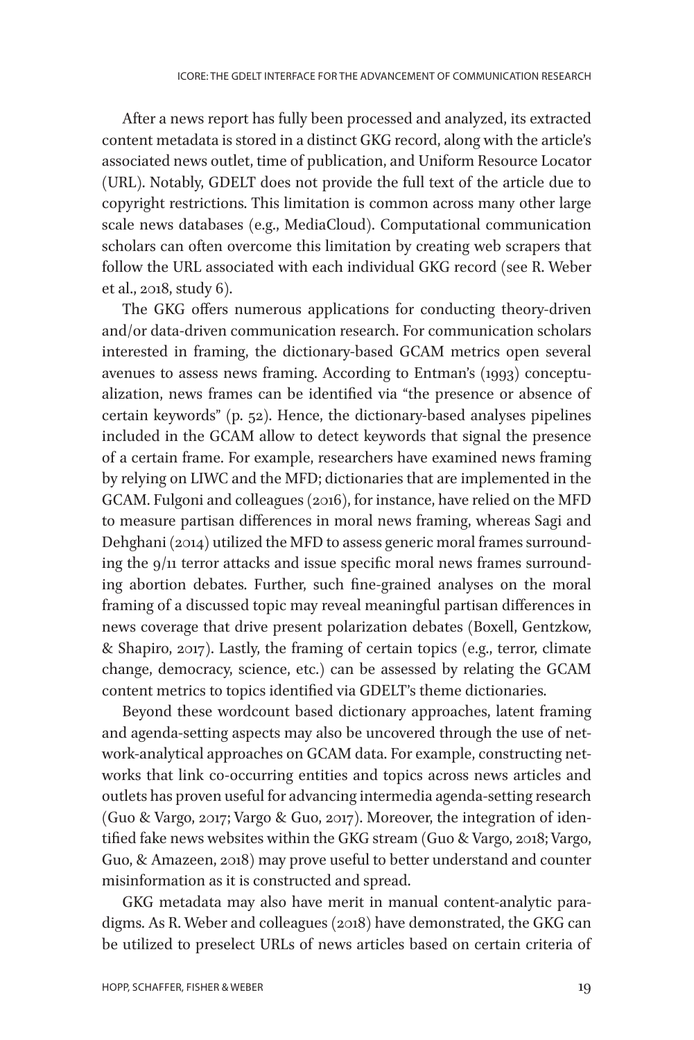After a news report has fully been processed and analyzed, its extracted content metadata is stored in a distinct GKG record, along with the article's associated news outlet, time of publication, and Uniform Resource Locator (URL). Notably, GDELT does not provide the full text of the article due to copyright restrictions. This limitation is common across many other large scale news databases (e.g., MediaCloud). Computational communication scholars can often overcome this limitation by creating web scrapers that follow the URL associated with each individual GKG record (see R. [Weber](#page-31-1) [et al., 2018,](#page-31-1) study 6).

The GKG offers numerous applications for conducting theory-driven and/or data-driven communication research. For communication scholars interested in framing, the dictionary-based GCAM metrics open several avenues to assess news framing. According to [Entman's \(1993\)](#page-28-0) conceptualization, news frames can be identified via "the presence or absence of certain keywords" (p. 52). Hence, the dictionary-based analyses pipelines included in the GCAM allow to detect keywords that signal the presence of a certain frame. For example, researchers have examined news framing by relying on LIWC and the MFD; dictionaries that are implemented in the GCAM. [Fulgoni and colleagues \(2016\)](#page-28-3), for instance, have relied on the MFD to measure partisan differences in moral news framing, whereas [Sagi and](#page-30-9) [Dehghani \(2014](#page-30-9)) utilized the MFD to assess generic moral frames surrounding the  $9/11$  terror attacks and issue specific moral news frames surrounding abortion debates. Further, such fine-grained analyses on the moral framing of a discussed topic may reveal meaningful partisan differences in news coverage that drive present polarization debates ([Boxell, Gentzkow,](#page-28-4) [& Shapiro, 2017\)](#page-28-4). Lastly, the framing of certain topics (e.g., terror, climate change, democracy, science, etc.) can be assessed by relating the GCAM content metrics to topics identified via GDELT's theme dictionaries.

Beyond these wordcount based dictionary approaches, latent framing and agenda-setting aspects may also be uncovered through the use of network-analytical approaches on GCAM data. For example, constructing networks that link co-occurring entities and topics across news articles and outlets has proven useful for advancing intermedia agenda-setting research (Guo & [Vargo, 2017; Vargo & Guo, 2017\)](#page-31-4). Moreover, the integration of identified fake news websites within the GKG stream (Guo & [Vargo, 2018](#page-31-5); [Vargo,](#page-31-5) [Guo, & Amazeen, 2018\)](#page-31-5) may prove useful to better understand and counter misinformation as it is constructed and spread.

GKG metadata may also have merit in manual content-analytic paradigms. As R. [Weber and colleagues \(2018](#page-31-1)) have demonstrated, the GKG can be utilized to preselect URLs of news articles based on certain criteria of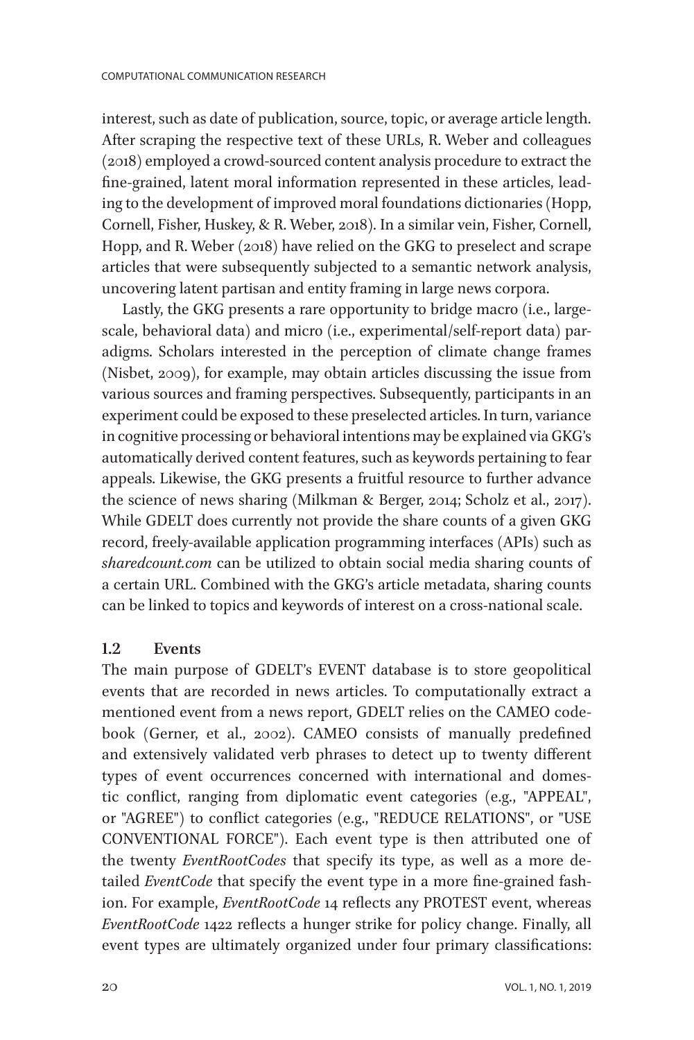interest, such as date of publication, source, topic, or average article length. After scraping the respective text of these URLs, R. [Weber and colleagues](#page-31-1) [\(2018](#page-31-1)) employed a crowd-sourced content analysis procedure to extract the fine-grained, latent moral information represented in these articles, leading to the development of improved moral foundations dictionaries (Hopp, Cornell, Fisher, Huskey, & R. [Weber, 2018](#page-31-1)). In a similar vein, Fisher, Cornell, Hopp, and R. [Weber \(2018\)](#page-31-1) have relied on the GKG to preselect and scrape articles that were subsequently subjected to a semantic network analysis, uncovering latent partisan and entity framing in large news corpora.

Lastly, the GKG presents a rare opportunity to bridge macro (i.e., largescale, behavioral data) and micro (i.e., experimental/self-report data) paradigms. Scholars interested in the perception of climate change frames ([Nisbet, 2009\)](#page-30-10), for example, may obtain articles discussing the issue from various sources and framing perspectives. Subsequently, participants in an experiment could be exposed to these preselected articles. In turn, variance in cognitive processing or behavioral intentions may be explained via GKG's automatically derived content features, such as keywords pertaining to fear appeals. Likewise, the GKG presents a fruitful resource to further advance the science of news sharing ([Milkman & Berger, 2014;](#page-30-11) [Scholz et al., 2017](#page-30-12)). While GDELT does currently not provide the share counts of a given GKG record, freely-available application programming interfaces (APIs) such as *sharedcount.com* can be utilized to obtain social media sharing counts of a certain URL. Combined with the GKG's article metadata, sharing counts can be linked to topics and keywords of interest on a cross-national scale.

## **1.2 Events**

The main purpose of GDELT's EVENT database is to store geopolitical events that are recorded in news articles. To computationally extract a mentioned event from a news report, GDELT relies on the CAMEO codebook [\(Gerner, et al., 2002](#page-28-2)). CAMEO consists of manually predefined and extensively validated verb phrases to detect up to twenty different types of event occurrences concerned with international and domestic conflict, ranging from diplomatic event categories (e.g., "APPEAL", or "AGREE") to conflict categories (e.g., "REDUCE RELATIONS", or "USE CONVENTIONAL FORCE"). Each event type is then attributed one of the twenty *EventRootCodes* that specify its type, as well as a more detailed *EventCode* that specify the event type in a more fine-grained fashion. For example, *EventRootCode* 14 reflects any PROTEST event, whereas *EventRootCode* 1422 reflects a hunger strike for policy change. Finally, all event types are ultimately organized under four primary classifications: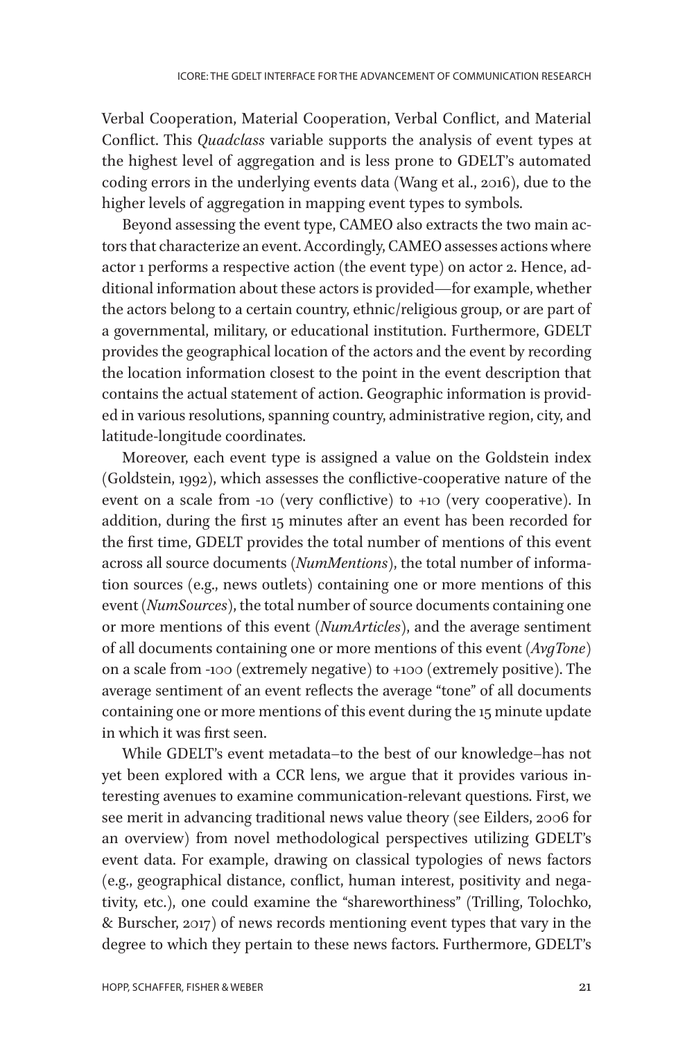Verbal Cooperation, Material Cooperation, Verbal Conflict, and Material Conflict. This *Quadclass* variable supports the analysis of event types at the highest level of aggregation and is less prone to GDELT's automated coding errors in the underlying events data ([Wang et al., 2016\)](#page-31-6), due to the higher levels of aggregation in mapping event types to symbols.

Beyond assessing the event type, CAMEO also extracts the two main actors that characterize an event. Accordingly, CAMEO assesses actions where actor 1 performs a respective action (the event type) on actor 2. Hence, additional information about these actors is provided—for example, whether the actors belong to a certain country, ethnic/religious group, or are part of a governmental, military, or educational institution. Furthermore, GDELT provides the geographical location of the actors and the event by recording the location information closest to the point in the event description that contains the actual statement of action. Geographic information is provided in various resolutions, spanning country, administrative region, city, and latitude-longitude coordinates.

Moreover, each event type is assigned a value on the Goldstein index ([Goldstein, 1992](#page-28-5)), which assesses the conflictive-cooperative nature of the event on a scale from -10 (very conflictive) to +10 (very cooperative). In addition, during the first 15 minutes after an event has been recorded for the first time, GDELT provides the total number of mentions of this event across all source documents (*NumMentions*), the total number of information sources (e.g., news outlets) containing one or more mentions of this event (*NumSources*), the total number of source documents containing one or more mentions of this event (*NumArticles*), and the average sentiment of all documents containing one or more mentions of this event (*AvgTone*) on a scale from -100 (extremely negative) to +100 (extremely positive). The average sentiment of an event reflects the average "tone" of all documents containing one or more mentions of this event during the 15 minute update in which it was first seen.

While GDELT's event metadata–to the best of our knowledge–has not yet been explored with a CCR lens, we argue that it provides various interesting avenues to examine communication-relevant questions. First, we see merit in advancing traditional news value theory (see [Eilders, 2006](#page-28-6) for an overview) from novel methodological perspectives utilizing GDELT's event data. For example, drawing on classical typologies of news factors (e.g., geographical distance, conflict, human interest, positivity and negativity, etc.), one could examine the "shareworthiness" ([Trilling, Tolochko,](#page-30-13) [& Burscher, 2017\)](#page-30-13) of news records mentioning event types that vary in the degree to which they pertain to these news factors. Furthermore, GDELT's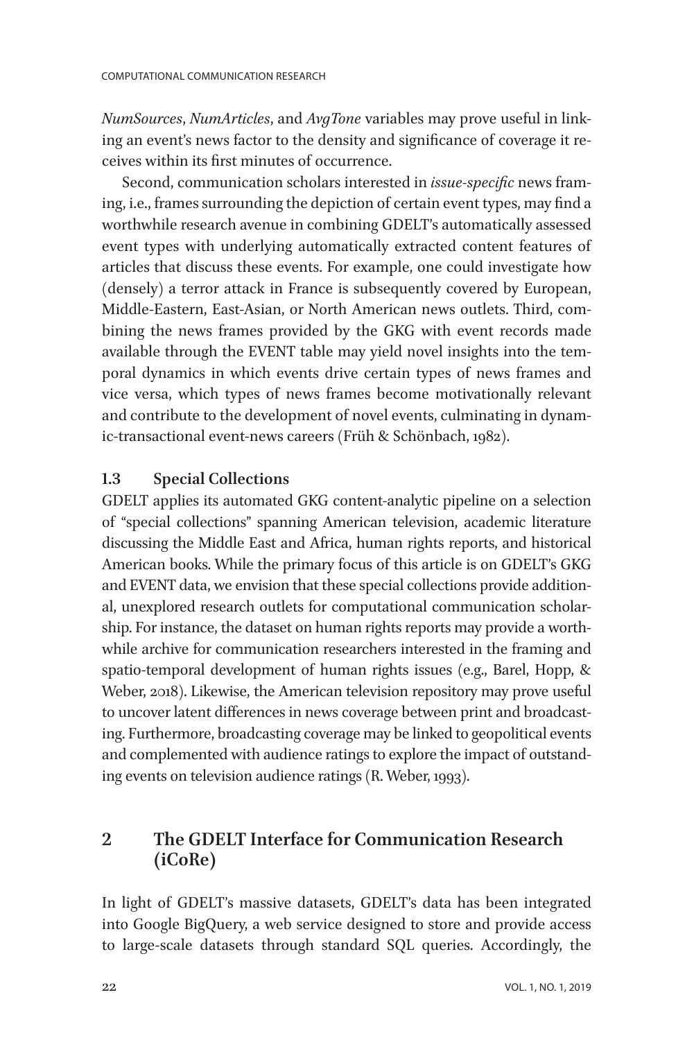*NumSources*, *NumArticles*, and *AvgTone* variables may prove useful in linking an event's news factor to the density and significance of coverage it receives within its first minutes of occurrence.

Second, communication scholars interested in *issue-specific* news framing, i.e., frames surrounding the depiction of certain event types, may find a worthwhile research avenue in combining GDELT's automatically assessed event types with underlying automatically extracted content features of articles that discuss these events. For example, one could investigate how (densely) a terror attack in France is subsequently covered by European, Middle-Eastern, East-Asian, or North American news outlets. Third, combining the news frames provided by the GKG with event records made available through the EVENT table may yield novel insights into the temporal dynamics in which events drive certain types of news frames and vice versa, which types of news frames become motivationally relevant and contribute to the development of novel events, culminating in dynamic-transactional event-news careers ([Früh & Schönbach, 1982](#page-28-7)).

## **1.3 Special Collections**

GDELT applies its automated GKG content-analytic pipeline on a selection of "special collections" spanning American television, academic literature discussing the Middle East and Africa, human rights reports, and historical American books. While the primary focus of this article is on GDELT's GKG and EVENT data, we envision that these special collections provide additional, unexplored research outlets for computational communication scholarship. For instance, the dataset on human rights reports may provide a worthwhile archive for communication researchers interested in the framing and spatio-temporal development of human rights issues (e.g., Barel, Hopp, & [Weber, 2018\)](#page-31-1). Likewise, the American television repository may prove useful to uncover latent differences in news coverage between print and broadcasting. Furthermore, broadcasting coverage may be linked to geopolitical events and complemented with audience ratings to explore the impact of outstanding events on television audience ratings (R. [Weber, 1993](#page-31-7)).

# **2 The GDELT Interface for Communication Research (iCoRe)**

In light of GDELT's massive datasets, GDELT's data has been integrated into Google BigQuery, a web service designed to store and provide access to large-scale datasets through standard SQL queries. Accordingly, the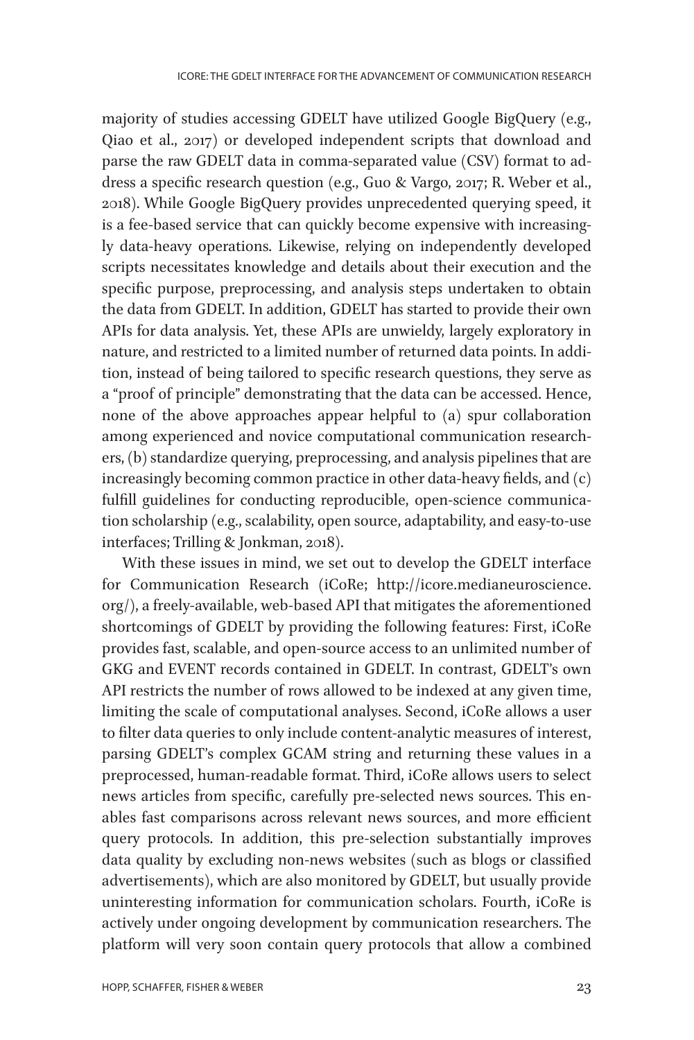majority of studies accessing GDELT have utilized Google BigQuery (e.g., [Qiao et al., 2017](#page-30-5)) or developed independent scripts that download and parse the raw GDELT data in comma-separated value (CSV) format to address a specific research question (e.g., Guo & [Vargo, 2017;](#page-31-4) R. [Weber et al.,](#page-31-1) [2018](#page-31-1)). While Google BigQuery provides unprecedented querying speed, it is a fee-based service that can quickly become expensive with increasingly data-heavy operations. Likewise, relying on independently developed scripts necessitates knowledge and details about their execution and the specific purpose, preprocessing, and analysis steps undertaken to obtain the data from GDELT. In addition, GDELT has started to provide their own APIs for data analysis. Yet, these APIs are unwieldy, largely exploratory in nature, and restricted to a limited number of returned data points. In addition, instead of being tailored to specific research questions, they serve as a "proof of principle" demonstrating that the data can be accessed. Hence, none of the above approaches appear helpful to (a) spur collaboration among experienced and novice computational communication researchers, (b) standardize querying, preprocessing, and analysis pipelines that are increasingly becoming common practice in other data-heavy fields, and (c) fulfill guidelines for conducting reproducible, open-science communication scholarship (e.g., scalability, open source, adaptability, and easy-to-use interfaces; [Trilling & Jonkman, 2018\)](#page-30-7).

With these issues in mind, we set out to develop the GDELT interface for Communication Research (iCoRe; [http://icore.medianeuroscience.](http://icore.medianeuroscience.org/) [org/\)](http://icore.medianeuroscience.org/), a freely-available, web-based API that mitigates the aforementioned shortcomings of GDELT by providing the following features: First, iCoRe provides fast, scalable, and open-source access to an unlimited number of GKG and EVENT records contained in GDELT. In contrast, GDELT's own API restricts the number of rows allowed to be indexed at any given time, limiting the scale of computational analyses. Second, iCoRe allows a user to filter data queries to only include content-analytic measures of interest, parsing GDELT's complex GCAM string and returning these values in a preprocessed, human-readable format. Third, iCoRe allows users to select news articles from specific, carefully pre-selected news sources. This enables fast comparisons across relevant news sources, and more efficient query protocols. In addition, this pre-selection substantially improves data quality by excluding non-news websites (such as blogs or classified advertisements), which are also monitored by GDELT, but usually provide uninteresting information for communication scholars. Fourth, iCoRe is actively under ongoing development by communication researchers. The platform will very soon contain query protocols that allow a combined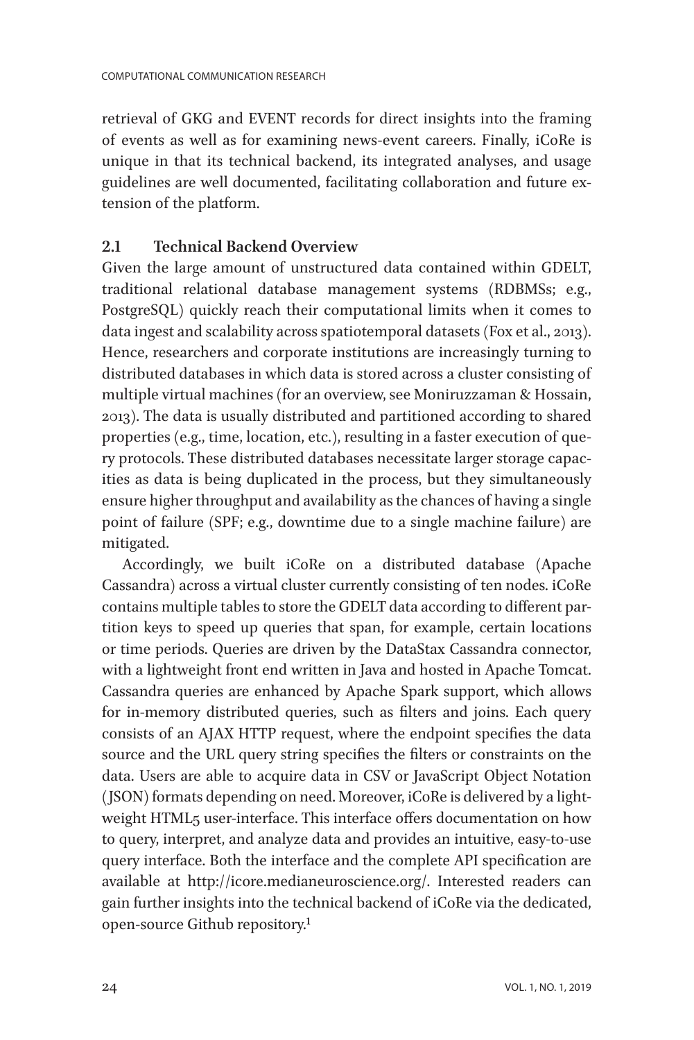retrieval of GKG and EVENT records for direct insights into the framing of events as well as for examining news-event careers. Finally, iCoRe is unique in that its technical backend, its integrated analyses, and usage guidelines are well documented, facilitating collaboration and future extension of the platform.

### **2.1 Technical Backend Overview**

Given the large amount of unstructured data contained within GDELT, traditional relational database management systems (RDBMSs; e.g., PostgreSQL) quickly reach their computational limits when it comes to data ingest and scalability across spatiotemporal datasets ([Fox et al., 2013](#page-28-8)). Hence, researchers and corporate institutions are increasingly turning to distributed databases in which data is stored across a cluster consisting of multiple virtual machines (for an overview, see [Moniruzzaman & Hossain,](#page-30-14) [2013](#page-30-14)). The data is usually distributed and partitioned according to shared properties (e.g., time, location, etc.), resulting in a faster execution of query protocols. These distributed databases necessitate larger storage capacities as data is being duplicated in the process, but they simultaneously ensure higher throughput and availability as the chances of having a single point of failure (SPF; e.g., downtime due to a single machine failure) are mitigated.

Accordingly, we built iCoRe on a distributed database (Apache Cassandra) across a virtual cluster currently consisting of ten nodes. iCoRe contains multiple tables to store the GDELT data according to different partition keys to speed up queries that span, for example, certain locations or time periods. Queries are driven by the DataStax Cassandra connector, with a lightweight front end written in Java and hosted in Apache Tomcat. Cassandra queries are enhanced by Apache Spark support, which allows for in-memory distributed queries, such as filters and joins. Each query consists of an AJAX HTTP request, where the endpoint specifies the data source and the URL query string specifies the filters or constraints on the data. Users are able to acquire data in CSV or JavaScript Object Notation (JSON) formats depending on need. Moreover, iCoRe is delivered by a lightweight HTML5 user-interface. This interface offers documentation on how to query, interpret, and analyze data and provides an intuitive, easy-to-use query interface. Both the interface and the complete API specification are available at <http://icore.medianeuroscience.org/>. Interested readers can gain further insights into the technical backend of iCoRe via the dedicated, open-source Github repository[.1](#page-27-2)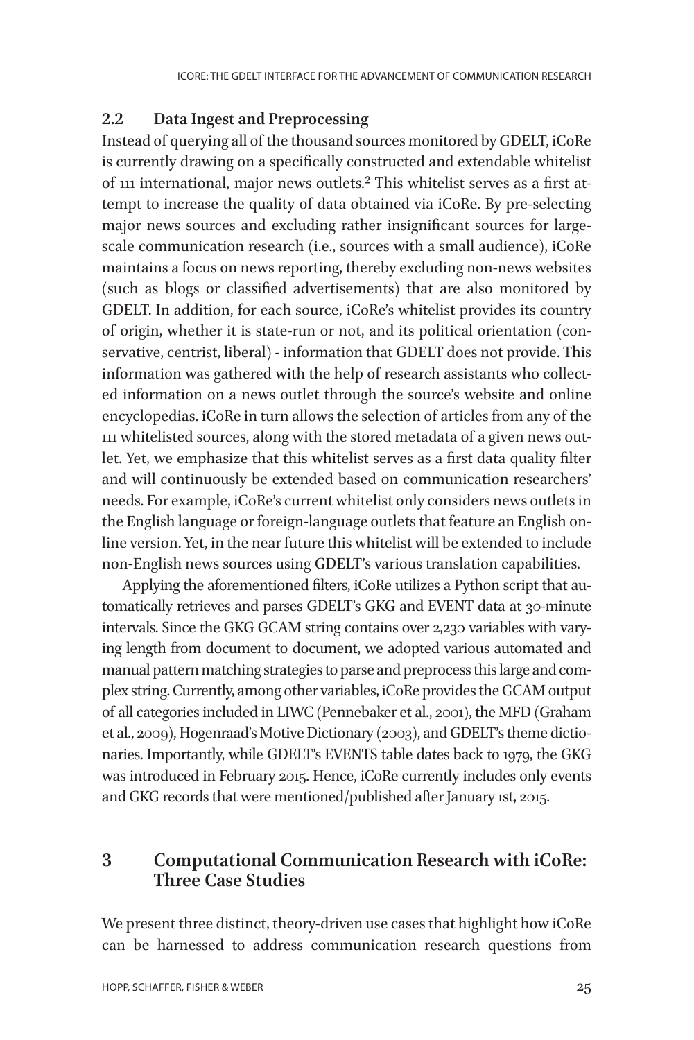## **2.2 Data Ingest and Preprocessing**

Instead of querying all of the thousand sources monitored by GDELT, iCoRe is currently drawing on a specifically constructed and extendable whitelist of 111 international, major news outlets.[2](#page-27-3) This whitelist serves as a first attempt to increase the quality of data obtained via iCoRe. By pre-selecting major news sources and excluding rather insignificant sources for largescale communication research (i.e., sources with a small audience), iCoRe maintains a focus on news reporting, thereby excluding non-news websites (such as blogs or classified advertisements) that are also monitored by GDELT. In addition, for each source, iCoRe's whitelist provides its country of origin, whether it is state-run or not, and its political orientation (conservative, centrist, liberal) - information that GDELT does not provide. This information was gathered with the help of research assistants who collected information on a news outlet through the source's website and online encyclopedias. iCoRe in turn allows the selection of articles from any of the 111 whitelisted sources, along with the stored metadata of a given news outlet. Yet, we emphasize that this whitelist serves as a first data quality filter and will continuously be extended based on communication researchers' needs. For example, iCoRe's current whitelist only considers news outlets in the English language or foreign-language outlets that feature an English online version. Yet, in the near future this whitelist will be extended to include non-English news sources using GDELT's various translation capabilities.

Applying the aforementioned filters, iCoRe utilizes a Python script that automatically retrieves and parses GDELT's GKG and EVENT data at 30-minute intervals. Since the GKG GCAM string contains over 2,230 variables with varying length from document to document, we adopted various automated and manual pattern matching strategies to parse and preprocess this large and complex string. Currently, among other variables, iCoRe provides the GCAM output of all categories included in LIWC [\(Pennebaker et al., 2001\)](#page-30-8), the MFD [\(Graham](#page-29-10) [et al., 2009](#page-29-10)), Hogenraad's Motive Dictionary (2003), and GDELT's theme dictionaries. Importantly, while GDELT's EVENTS table dates back to 1979, the GKG was introduced in February 2015. Hence, iCoRe currently includes only events and GKG records that were mentioned/published after January 1st, 2015.

## **3 Computational Communication Research with iCoRe: Three Case Studies**

We present three distinct, theory-driven use cases that highlight how iCoRe can be harnessed to address communication research questions from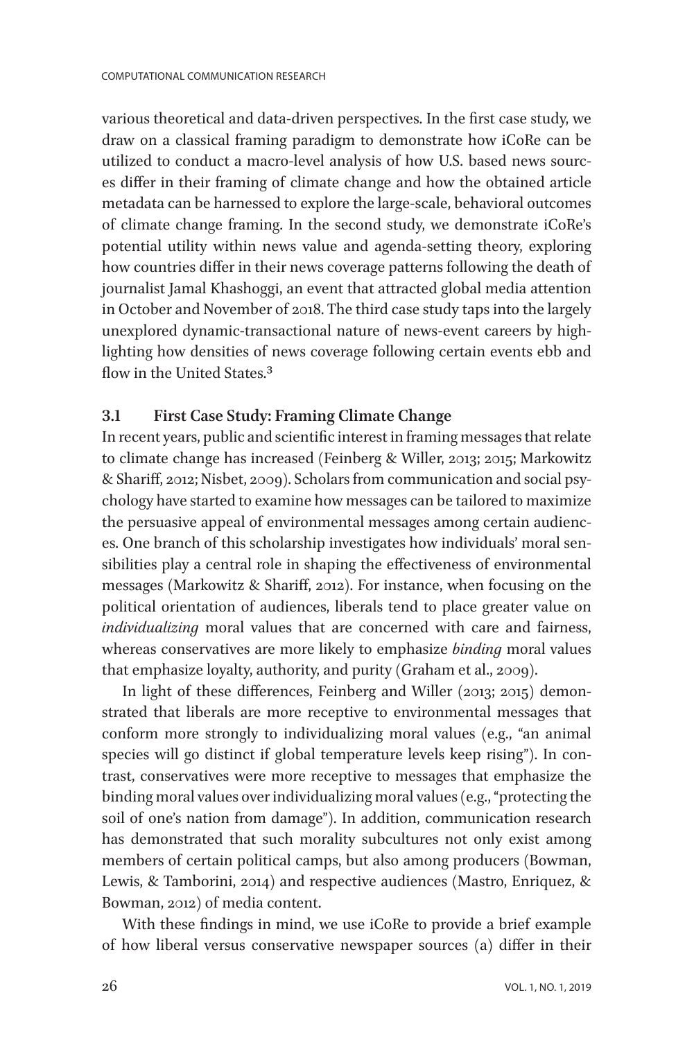various theoretical and data-driven perspectives. In the first case study, we draw on a classical framing paradigm to demonstrate how iCoRe can be utilized to conduct a macro-level analysis of how U.S. based news sources differ in their framing of climate change and how the obtained article metadata can be harnessed to explore the large-scale, behavioral outcomes of climate change framing. In the second study, we demonstrate iCoRe's potential utility within news value and agenda-setting theory, exploring how countries differ in their news coverage patterns following the death of journalist Jamal Khashoggi, an event that attracted global media attention in October and November of 2018. The third case study taps into the largely unexplored dynamic-transactional nature of news-event careers by highlighting how densities of news coverage following certain events ebb and flow in the United States.<sup>3</sup>

### **3.1 First Case Study: Framing Climate Change**

In recent years, public and scientific interest in framing messages that relate to climate change has increased ([Feinberg & Willer, 2013](#page-28-9); [2015](#page-28-10); [Markowitz](#page-29-13) [& Shariff, 2012](#page-29-13); [Nisbet, 2009](#page-30-10)). Scholars from communication and social psychology have started to examine how messages can be tailored to maximize the persuasive appeal of environmental messages among certain audiences. One branch of this scholarship investigates how individuals' moral sensibilities play a central role in shaping the effectiveness of environmental messages ([Markowitz & Shariff, 2012\)](#page-29-13). For instance, when focusing on the political orientation of audiences, liberals tend to place greater value on *individualizing* moral values that are concerned with care and fairness, whereas conservatives are more likely to emphasize *binding* moral values that emphasize loyalty, authority, and purity ([Graham et al., 2009](#page-29-10)).

In light of these differences, [Feinberg and Willer \(2013;](#page-28-9) [2015](#page-28-10)) demonstrated that liberals are more receptive to environmental messages that conform more strongly to individualizing moral values (e.g., "an animal species will go distinct if global temperature levels keep rising"). In contrast, conservatives were more receptive to messages that emphasize the binding moral values over individualizing moral values (e.g., "protecting the soil of one's nation from damage"). In addition, communication research has demonstrated that such morality subcultures not only exist among members of certain political camps, but also among producers ([Bowman,](#page-28-11) [Lewis, & Tamborini, 2014\)](#page-28-11) and respective audiences ([Mastro, Enriquez, &](#page-30-15) [Bowman, 2012\)](#page-30-15) of media content.

With these findings in mind, we use iCoRe to provide a brief example of how liberal versus conservative newspaper sources (a) differ in their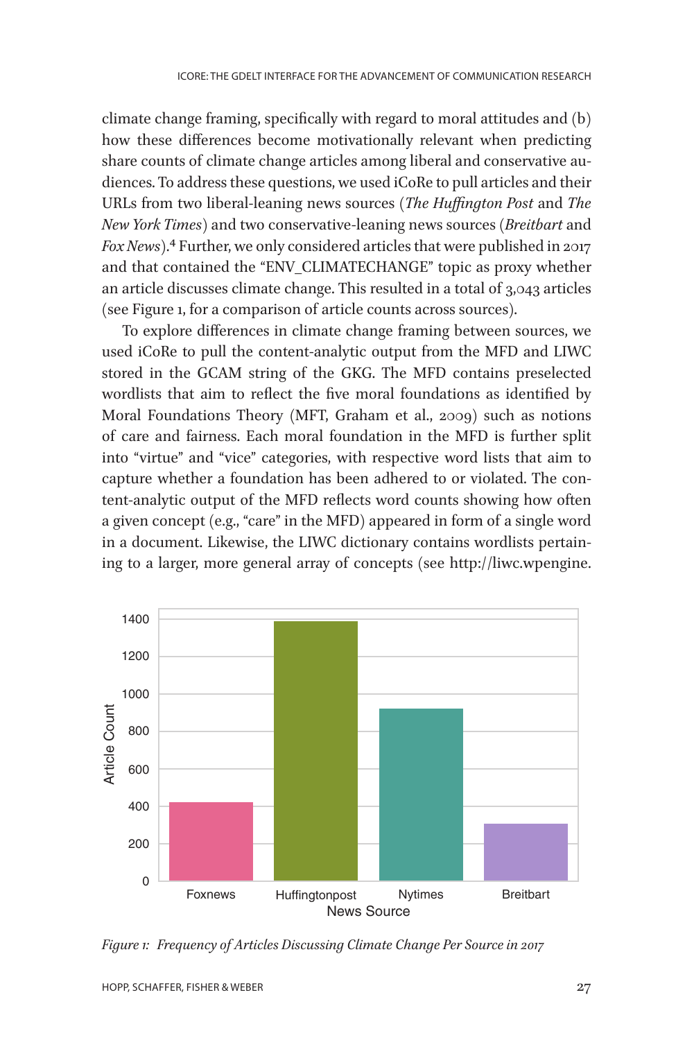climate change framing, specifically with regard to moral attitudes and (b) how these differences become motivationally relevant when predicting share counts of climate change articles among liberal and conservative audiences. To address these questions, we used iCoRe to pull articles and their URLs from two liberal-leaning news sources (*The Huffington Post* and *The New York Times*) and two conservative-leaning news sources (*Breitbart* and *Fox News*)[.4](#page-27-5) Further, we only considered articles that were published in 2017 and that contained the "ENV\_CLIMATECHANGE" topic as proxy whether an article discusses climate change. This resulted in a total of 3,043 articles (see Figure 1, for a comparison of article counts across sources).

To explore differences in climate change framing between sources, we used iCoRe to pull the content-analytic output from the MFD and LIWC stored in the GCAM string of the GKG. The MFD contains preselected wordlists that aim to reflect the five moral foundations as identified by Moral Foundations Theory (MFT, [Graham et al., 2009\)](#page-29-10) such as notions of care and fairness. Each moral foundation in the MFD is further split into "virtue" and "vice" categories, with respective word lists that aim to capture whether a foundation has been adhered to or violated. The content-analytic output of the MFD reflects word counts showing how often a given concept (e.g., "care" in the MFD) appeared in form of a single word in a document. Likewise, the LIWC dictionary contains wordlists pertaining to a larger, more general array of concepts (see http://liwc.wpengine.



*Figure 1: Frequency of Articles Discussing Climate Change Per Source in 2017*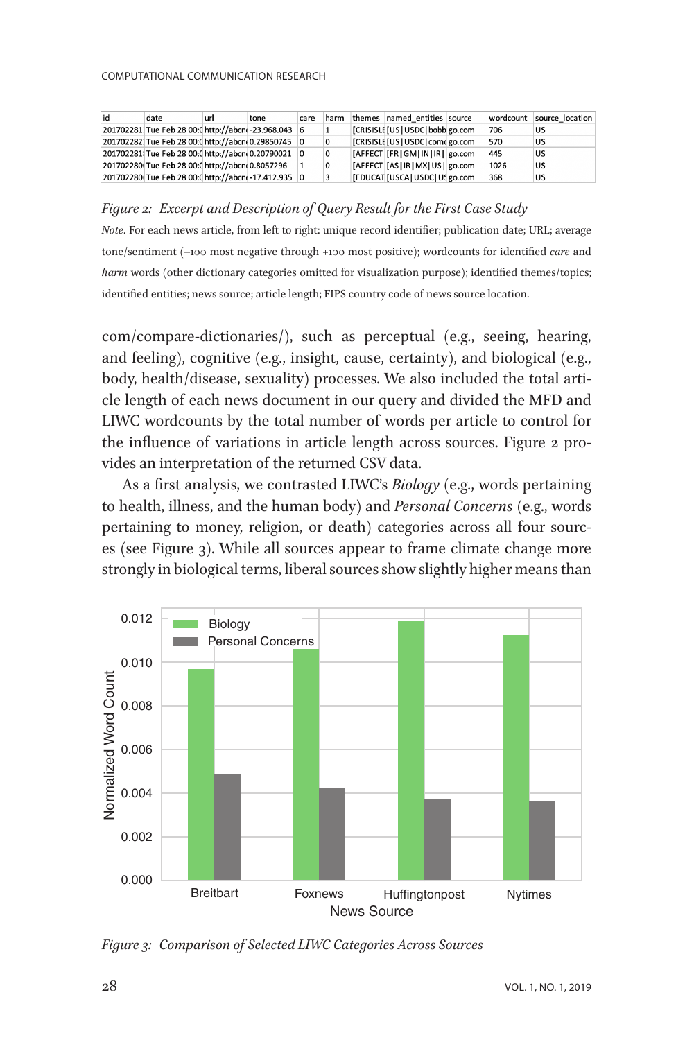#### COMPUTATIONAL COMMUNICATION RESEARCH

| id | date                                                 | url | tone | care | harm | themes named entities source        | wordcount | source location |
|----|------------------------------------------------------|-----|------|------|------|-------------------------------------|-----------|-----------------|
|    | 201702281 Tue Feb 28 00:0 http://abcn(-23.968.043 6  |     |      |      |      | [CRISISLI [US   USDC   bobb go.com  | 706       | US              |
|    | 201702282. Tue Feb 28 00:0 http://abcn(0.29850745 0  |     |      |      | 0    | [CRISISLI [US   USDC] come go.com   | 570       | US              |
|    | 201702281 Tue Feb 28 00:0 http://abcn(0.20790021 0   |     |      |      | 0    | [AFFECT [FR] GM   IN   IR   go.com  | 445       | US              |
|    | 201702280(Tue Feb 28 00:0 http://abcn(0.8057296      |     |      |      | 0    | [AFFECT [AS   IR   MX   US   go.com | 1026      | US              |
|    | 201702280 Tue Feb 28 00:0 http://abcni -17.412.935 0 |     |      |      | 3    | [EDUCAT [USCA   USDC   US go.com    | 368       | US              |

#### *Figure 2: Excerpt and Description of Query Result for the First Case Study*

*Note*. For each news article, from left to right: unique record identifier; publication date; URL; average tone/sentiment (–100 most negative through +100 most positive); wordcounts for identified *care* and *harm* words (other dictionary categories omitted for visualization purpose); identified themes/topics; identified entities; news source; article length; FIPS country code of news source location.

com/compare-dictionaries/), such as perceptual (e.g., seeing, hearing, and feeling), cognitive (e.g., insight, cause, certainty), and biological (e.g., body, health/disease, sexuality) processes. We also included the total article length of each news document in our query and divided the MFD and LIWC wordcounts by the total number of words per article to control for the influence of variations in article length across sources. Figure 2 provides an interpretation of the returned CSV data.

As a first analysis, we contrasted LIWC's *Biology* (e.g., words pertaining to health, illness, and the human body) and *Personal Concerns* (e.g., words pertaining to money, religion, or death) categories across all four sources (see Figure 3). While all sources appear to frame climate change more strongly in biological terms, liberal sources show slightly higher means than



*Figure 3: Comparison of Selected LIWC Categories Across Sources*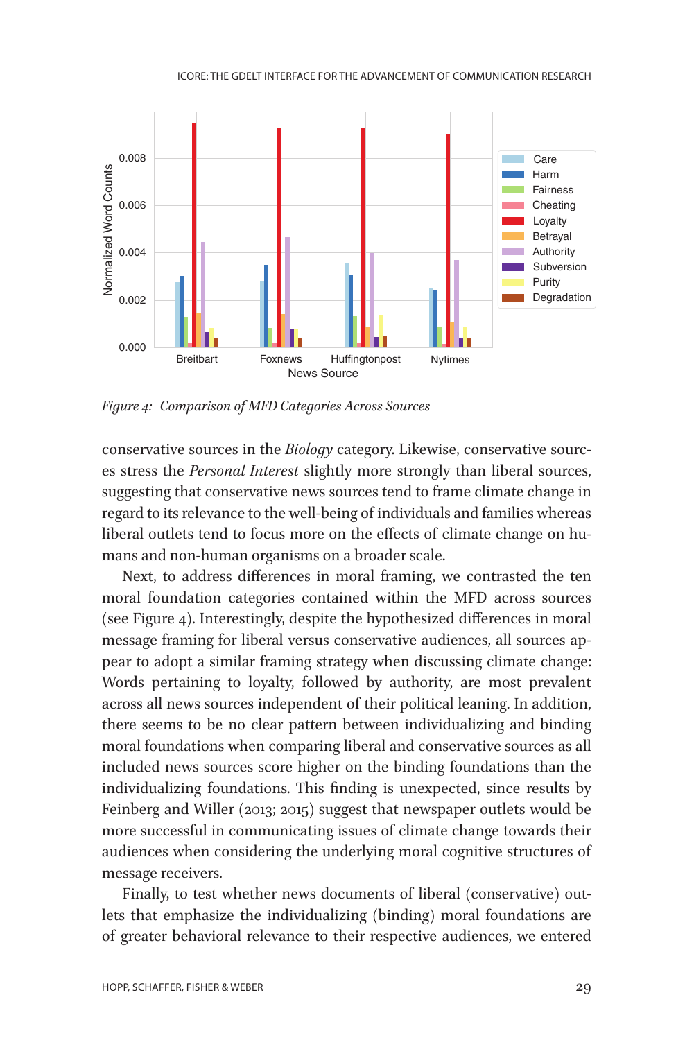

*Figure 4: Comparison of MFD Categories Across Sources*

conservative sources in the *Biology* category. Likewise, conservative sources stress the *Personal Interest* slightly more strongly than liberal sources, suggesting that conservative news sources tend to frame climate change in regard to its relevance to the well-being of individuals and families whereas liberal outlets tend to focus more on the effects of climate change on humans and non-human organisms on a broader scale.

Next, to address differences in moral framing, we contrasted the ten moral foundation categories contained within the MFD across sources (see Figure 4). Interestingly, despite the hypothesized differences in moral message framing for liberal versus conservative audiences, all sources appear to adopt a similar framing strategy when discussing climate change: Words pertaining to loyalty, followed by authority, are most prevalent across all news sources independent of their political leaning. In addition, there seems to be no clear pattern between individualizing and binding moral foundations when comparing liberal and conservative sources as all included news sources score higher on the binding foundations than the individualizing foundations. This finding is unexpected, since results by [Feinberg and Willer \(2013;](#page-28-9) [2015\)](#page-28-10) suggest that newspaper outlets would be more successful in communicating issues of climate change towards their audiences when considering the underlying moral cognitive structures of message receivers.

Finally, to test whether news documents of liberal (conservative) outlets that emphasize the individualizing (binding) moral foundations are of greater behavioral relevance to their respective audiences, we entered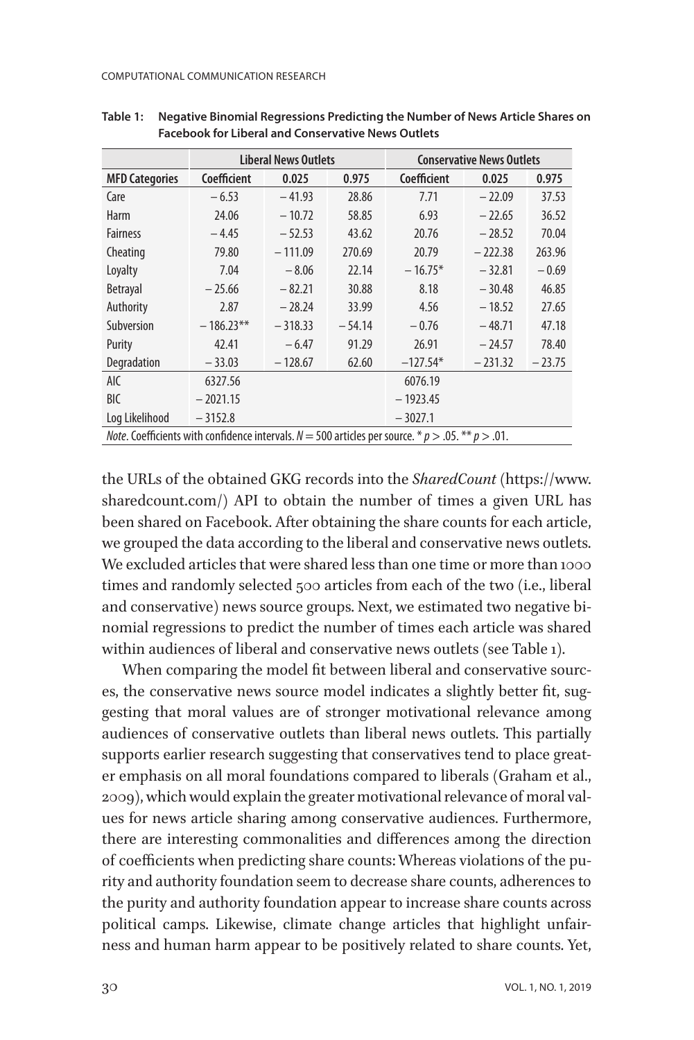|                                                                                                                     |             | <b>Liberal News Outlets</b> |          | <b>Conservative News Outlets</b> |           |          |  |
|---------------------------------------------------------------------------------------------------------------------|-------------|-----------------------------|----------|----------------------------------|-----------|----------|--|
| <b>MFD Categories</b>                                                                                               | Coefficient | 0.025                       | 0.975    | Coefficient                      | 0.025     | 0.975    |  |
| Care                                                                                                                | $-6.53$     | $-41.93$                    | 28.86    | 7.71                             | $-22.09$  | 37.53    |  |
| Harm                                                                                                                | 24.06       | $-10.72$                    | 58.85    | 6.93                             | $-22.65$  | 36.52    |  |
| <b>Fairness</b>                                                                                                     | $-4.45$     | $-52.53$                    | 43.62    | 20.76                            | $-28.52$  | 70.04    |  |
| Cheating                                                                                                            | 79.80       | $-111.09$                   | 270.69   | 20.79                            | $-222.38$ | 263.96   |  |
| Loyalty                                                                                                             | 7.04        | $-8.06$                     | 22.14    | $-16.75*$                        | $-32.81$  | $-0.69$  |  |
| <b>Betrayal</b>                                                                                                     | $-25.66$    | $-82.21$                    | 30.88    | 8.18                             | $-30.48$  | 46.85    |  |
| Authority                                                                                                           | 2.87        | $-28.24$                    | 33.99    | 4.56                             | $-18.52$  | 27.65    |  |
| Subversion                                                                                                          | $-186.23**$ | $-318.33$                   | $-54.14$ | $-0.76$                          | $-48.71$  | 47.18    |  |
| Purity                                                                                                              | 42.41       | $-6.47$                     | 91.29    | 26.91                            | $-24.57$  | 78.40    |  |
| Degradation                                                                                                         | $-33.03$    | $-128.67$                   | 62.60    | $-127.54*$                       | $-231.32$ | $-23.75$ |  |
| AIC                                                                                                                 | 6327.56     |                             |          | 6076.19                          |           |          |  |
| <b>BIC</b>                                                                                                          | $-2021.15$  |                             |          | $-1923.45$                       |           |          |  |
| Log Likelihood                                                                                                      | $-3152.8$   |                             |          | $-3027.1$                        |           |          |  |
| <i>Note</i> . Coefficients with confidence intervals. $N = 500$ articles per source. * $p > 0.05$ . ** $p > 0.01$ . |             |                             |          |                                  |           |          |  |

<span id="page-17-0"></span>**Table 1: Negative Binomial Regressions Predicting the Number of News Article Shares on Facebook for Liberal and Conservative News Outlets**

the URLs of the obtained GKG records into the *SharedCount* [\(https://www.](https://www.sharedcount.com/) [sharedcount.com/\)](https://www.sharedcount.com/) API to obtain the number of times a given URL has been shared on Facebook. After obtaining the share counts for each article, we grouped the data according to the liberal and conservative news outlets. We excluded articles that were shared less than one time or more than 1000 times and randomly selected 500 articles from each of the two (i.e., liberal and conservative) news source groups. Next, we estimated two negative binomial regressions to predict the number of times each article was shared within audiences of liberal and conservative news outlets (see [Table 1\)](#page-17-0).

When comparing the model fit between liberal and conservative sources, the conservative news source model indicates a slightly better fit, suggesting that moral values are of stronger motivational relevance among audiences of conservative outlets than liberal news outlets. This partially supports earlier research suggesting that conservatives tend to place greater emphasis on all moral foundations compared to liberals ([Graham et al.,](#page-29-10) [2009\)](#page-29-10), which would explain the greater motivational relevance of moral values for news article sharing among conservative audiences. Furthermore, there are interesting commonalities and differences among the direction of coefficients when predicting share counts: Whereas violations of the purity and authority foundation seem to decrease share counts, adherences to the purity and authority foundation appear to increase share counts across political camps. Likewise, climate change articles that highlight unfairness and human harm appear to be positively related to share counts. Yet,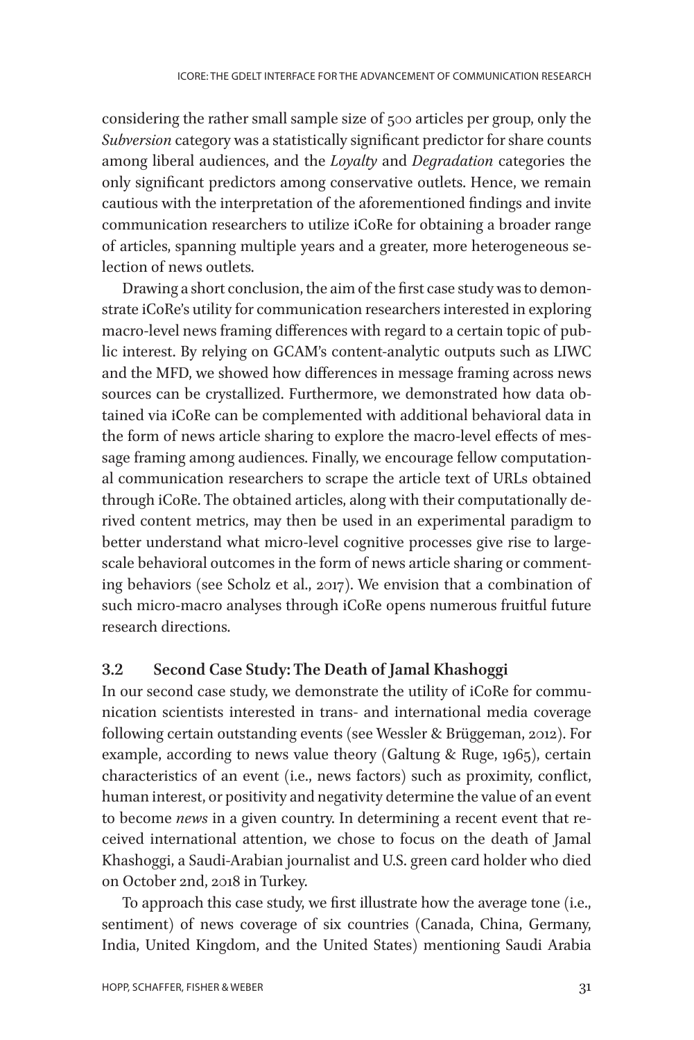considering the rather small sample size of 500 articles per group, only the *Subversion* category was a statistically significant predictor for share counts among liberal audiences, and the *Loyalty* and *Degradation* categories the only significant predictors among conservative outlets. Hence, we remain cautious with the interpretation of the aforementioned findings and invite communication researchers to utilize iCoRe for obtaining a broader range of articles, spanning multiple years and a greater, more heterogeneous selection of news outlets.

Drawing a short conclusion, the aim of the first case study was to demonstrate iCoRe's utility for communication researchers interested in exploring macro-level news framing differences with regard to a certain topic of public interest. By relying on GCAM's content-analytic outputs such as LIWC and the MFD, we showed how differences in message framing across news sources can be crystallized. Furthermore, we demonstrated how data obtained via iCoRe can be complemented with additional behavioral data in the form of news article sharing to explore the macro-level effects of message framing among audiences. Finally, we encourage fellow computational communication researchers to scrape the article text of URLs obtained through iCoRe. The obtained articles, along with their computationally derived content metrics, may then be used in an experimental paradigm to better understand what micro-level cognitive processes give rise to largescale behavioral outcomes in the form of news article sharing or commenting behaviors (see [Scholz et al., 2017\)](#page-30-12). We envision that a combination of such micro-macro analyses through iCoRe opens numerous fruitful future research directions.

### **3.2 Second Case Study: The Death of Jamal Khashoggi**

In our second case study, we demonstrate the utility of iCoRe for communication scientists interested in trans- and international media coverage following certain outstanding events (see [Wessler & Brüggeman, 2012](#page-31-8)). For example, according to news value theory ([Galtung & Ruge, 1965\)](#page-28-12), certain characteristics of an event (i.e., news factors) such as proximity, conflict, human interest, or positivity and negativity determine the value of an event to become *news* in a given country. In determining a recent event that received international attention, we chose to focus on the death of Jamal Khashoggi, a Saudi-Arabian journalist and U.S. green card holder who died on October 2nd, 2018 in Turkey.

To approach this case study, we first illustrate how the average tone (i.e., sentiment) of news coverage of six countries (Canada, China, Germany, India, United Kingdom, and the United States) mentioning Saudi Arabia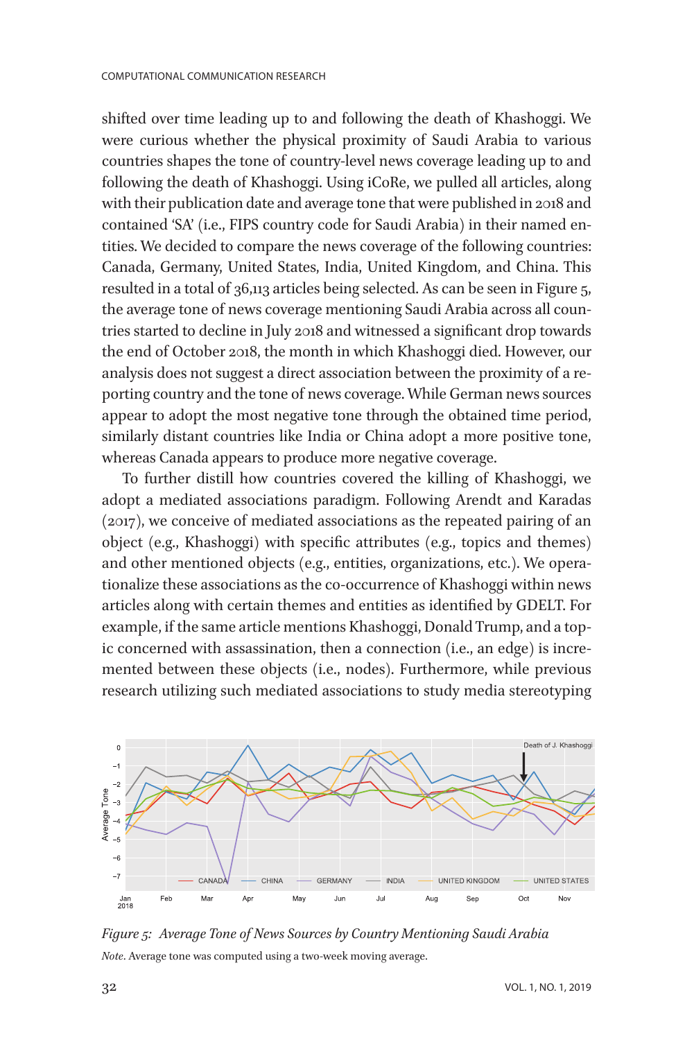shifted over time leading up to and following the death of Khashoggi. We were curious whether the physical proximity of Saudi Arabia to various countries shapes the tone of country-level news coverage leading up to and following the death of Khashoggi. Using iCoRe, we pulled all articles, along with their publication date and average tone that were published in 2018 and contained 'SA' (i.e., FIPS country code for Saudi Arabia) in their named entities. We decided to compare the news coverage of the following countries: Canada, Germany, United States, India, United Kingdom, and China. This resulted in a total of 36,113 articles being selected. As can be seen in Figure 5, the average tone of news coverage mentioning Saudi Arabia across all countries started to decline in July 2018 and witnessed a significant drop towards the end of October 2018, the month in which Khashoggi died. However, our analysis does not suggest a direct association between the proximity of a reporting country and the tone of news coverage. While German news sources appear to adopt the most negative tone through the obtained time period, similarly distant countries like India or China adopt a more positive tone, whereas Canada appears to produce more negative coverage.

To further distill how countries covered the killing of Khashoggi, we adopt a mediated associations paradigm. Following [Arendt and Karadas](#page-27-6) [\(2017\)](#page-27-6), we conceive of mediated associations as the repeated pairing of an object (e.g., Khashoggi) with specific attributes (e.g., topics and themes) and other mentioned objects (e.g., entities, organizations, etc.). We operationalize these associations as the co-occurrence of Khashoggi within news articles along with certain themes and entities as identified by GDELT. For example, if the same article mentions Khashoggi, Donald Trump, and a topic concerned with assassination, then a connection (i.e., an edge) is incremented between these objects (i.e., nodes). Furthermore, while previous research utilizing such mediated associations to study media stereotyping



*Figure 5: Average Tone of News Sources by Country Mentioning Saudi Arabia Note*. Average tone was computed using a two-week moving average.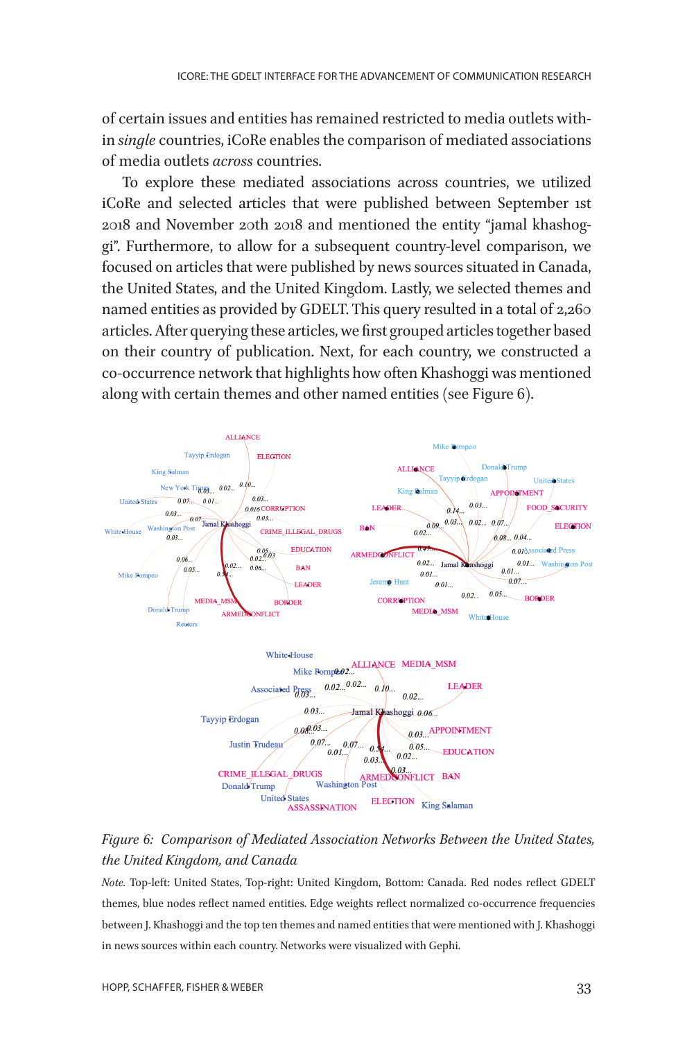of certain issues and entities has remained restricted to media outlets within *single* countries, iCoRe enables the comparison of mediated associations of media outlets *across* countries.

To explore these mediated associations across countries, we utilized iCoRe and selected articles that were published between September 1st 2018 and November 20th 2018 and mentioned the entity "jamal khashoggi". Furthermore, to allow for a subsequent country-level comparison, we focused on articles that were published by news sources situated in Canada, the United States, and the United Kingdom. Lastly, we selected themes and named entities as provided by GDELT. This query resulted in a total of 2,260 articles. After querying these articles, we first grouped articles together based on their country of publication. Next, for each country, we constructed a co-occurrence network that highlights how often Khashoggi was mentioned along with certain themes and other named entities (see Figure 6).



*Figure 6: Comparison of Mediated Association Networks Between the United States, the United Kingdom, and Canada*

*Note.* Top-left: United States, Top-right: United Kingdom, Bottom: Canada. Red nodes reflect GDELT themes, blue nodes reflect named entities. Edge weights reflect normalized co-occurrence frequencies between J. Khashoggi and the top ten themes and named entities that were mentioned with J. Khashoggi in news sources within each country. Networks were visualized with Gephi.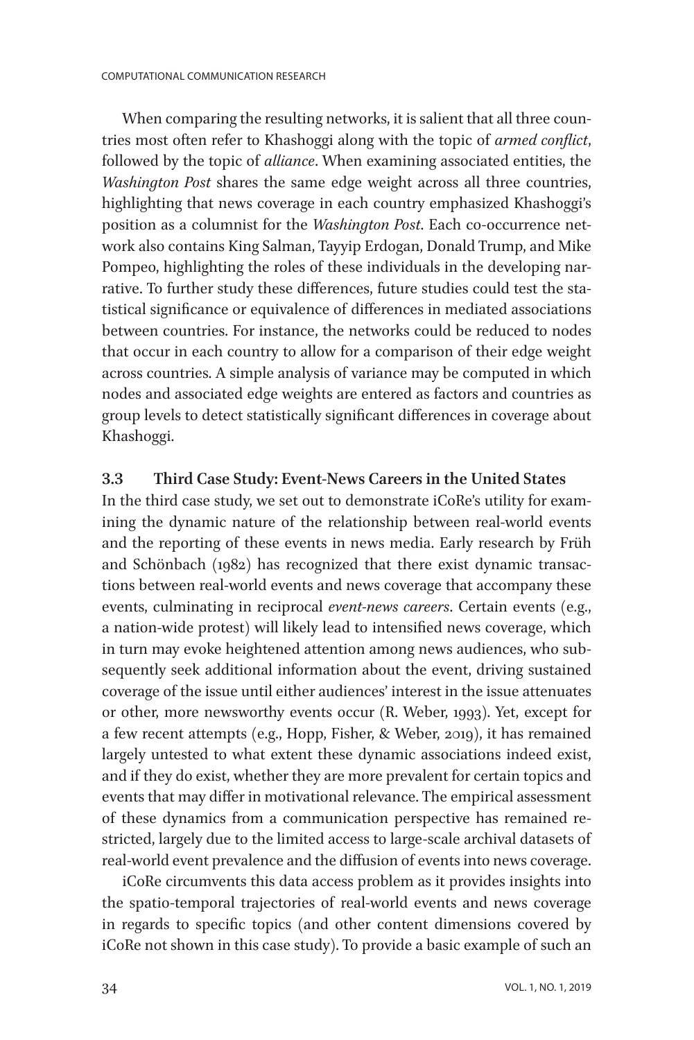When comparing the resulting networks, it is salient that all three countries most often refer to Khashoggi along with the topic of *armed conflict*, followed by the topic of *alliance*. When examining associated entities, the *Washington Post* shares the same edge weight across all three countries, highlighting that news coverage in each country emphasized Khashoggi's position as a columnist for the *Washington Post*. Each co-occurrence network also contains King Salman, Tayyip Erdogan, Donald Trump, and Mike Pompeo, highlighting the roles of these individuals in the developing narrative. To further study these differences, future studies could test the statistical significance or equivalence of differences in mediated associations between countries. For instance, the networks could be reduced to nodes that occur in each country to allow for a comparison of their edge weight across countries. A simple analysis of variance may be computed in which nodes and associated edge weights are entered as factors and countries as group levels to detect statistically significant differences in coverage about Khashoggi.

## **3.3 Third Case Study: Event-News Careers in the United States**

In the third case study, we set out to demonstrate iCoRe's utility for examining the dynamic nature of the relationship between real-world events and the reporting of these events in news media. Early research by [Früh](#page-28-7) [and Schönbach \(1982\)](#page-28-7) has recognized that there exist dynamic transactions between real-world events and news coverage that accompany these events, culminating in reciprocal *event-news careers*. Certain events (e.g., a nation-wide protest) will likely lead to intensified news coverage, which in turn may evoke heightened attention among news audiences, who subsequently seek additional information about the event, driving sustained coverage of the issue until either audiences' interest in the issue attenuates or other, more newsworthy events occur (R. [Weber, 1993](#page-31-7)). Yet, except for a few recent attempts (e.g., [Hopp, Fisher, & Weber, 2019](#page-29-14)), it has remained largely untested to what extent these dynamic associations indeed exist, and if they do exist, whether they are more prevalent for certain topics and events that may differ in motivational relevance. The empirical assessment of these dynamics from a communication perspective has remained restricted, largely due to the limited access to large-scale archival datasets of real-world event prevalence and the diffusion of events into news coverage.

iCoRe circumvents this data access problem as it provides insights into the spatio-temporal trajectories of real-world events and news coverage in regards to specific topics (and other content dimensions covered by iCoRe not shown in this case study). To provide a basic example of such an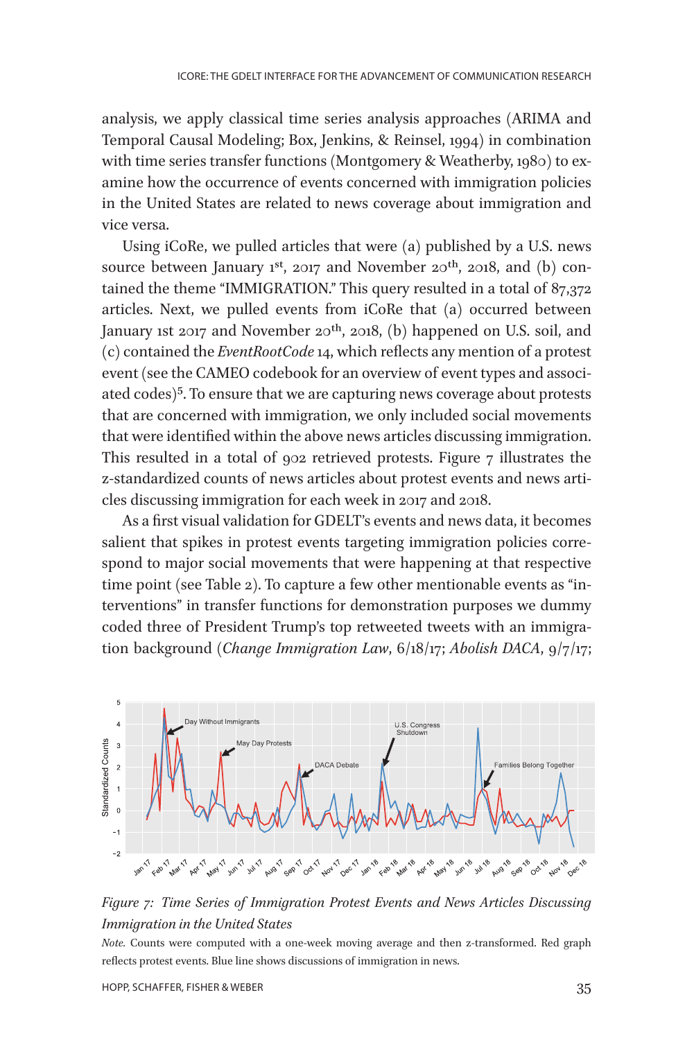analysis, we apply classical time series analysis approaches (ARIMA and Temporal Causal Modeling; [Box, Jenkins, & Reinsel, 1994](#page-28-13)) in combination with time series transfer functions [\(Montgomery & Weatherby, 1980](#page-30-16)) to examine how the occurrence of events concerned with immigration policies in the United States are related to news coverage about immigration and vice versa.

Using iCoRe, we pulled articles that were (a) published by a U.S. news source between January  $1^{st}$ , 2017 and November 20<sup>th</sup>, 2018, and (b) contained the theme "IMMIGRATION." This query resulted in a total of 87,372 articles. Next, we pulled events from iCoRe that (a) occurred between January 1st 2017 and November 20<sup>th</sup>, 2018, (b) happened on U.S. soil, and (c) contained the *EventRootCode* 14, which reflects any mention of a protest event (see the CAMEO codebook for an overview of event types and associated codes)<sup>5</sup>. To ensure that we are capturing news coverage about protests that are concerned with immigration, we only included social movements that were identified within the above news articles discussing immigration. This resulted in a total of 902 retrieved protests. Figure 7 illustrates the z-standardized counts of news articles about protest events and news articles discussing immigration for each week in 2017 and 2018.

As a first visual validation for GDELT's events and news data, it becomes salient that spikes in protest events targeting immigration policies correspond to major social movements that were happening at that respective time point (see [Table 2\)](#page-23-0). To capture a few other mentionable events as "interventions" in transfer functions for demonstration purposes we dummy coded three of President Trump's top retweeted tweets with an immigration background (*Change Immigration Law*, 6/18/17; *Abolish DACA*, 9/7/17;



*Figure 7: Time Series of Immigration Protest Events and News Articles Discussing Immigration in the United States*

*Note.* Counts were computed with a one-week moving average and then z-transformed. Red graph reflects protest events. Blue line shows discussions of immigration in news.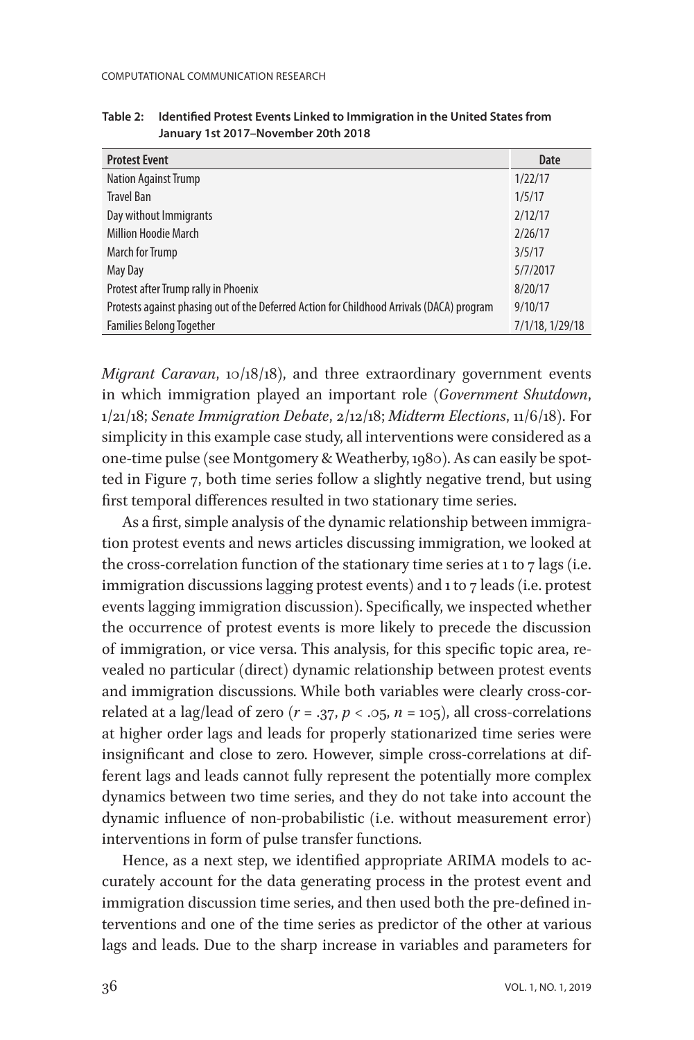| <b>Protest Event</b>                                                                      | Date            |
|-------------------------------------------------------------------------------------------|-----------------|
| <b>Nation Against Trump</b>                                                               | 1/22/17         |
| Travel Ban                                                                                | 1/5/17          |
| Day without Immigrants                                                                    | 2/12/17         |
| <b>Million Hoodie March</b>                                                               | 2/26/17         |
| March for Trump                                                                           | 3/5/17          |
| May Day                                                                                   | 5/7/2017        |
| Protest after Trump rally in Phoenix                                                      | 8/20/17         |
| Protests against phasing out of the Deferred Action for Childhood Arrivals (DACA) program | 9/10/17         |
| <b>Families Belong Together</b>                                                           | 7/1/18, 1/29/18 |

<span id="page-23-0"></span>**Table 2: Identified Protest Events Linked to Immigration in the United States from January 1st 2017–November 20th 2018**

*Migrant Caravan*, 10/18/18), and three extraordinary government events in which immigration played an important role (*Government Shutdown*, 1/21/18; *Senate Immigration Debate*, 2/12/18; *Midterm Elections*, 11/6/18). For simplicity in this example case study, all interventions were considered as a one-time pulse (see [Montgomery & Weatherby, 1980\)](#page-30-16). As can easily be spotted in Figure 7, both time series follow a slightly negative trend, but using first temporal differences resulted in two stationary time series.

As a first, simple analysis of the dynamic relationship between immigration protest events and news articles discussing immigration, we looked at the cross-correlation function of the stationary time series at  $1$  to  $7$  lags (i.e. immigration discussions lagging protest events) and 1 to 7 leads (i.e. protest events lagging immigration discussion). Specifically, we inspected whether the occurrence of protest events is more likely to precede the discussion of immigration, or vice versa. This analysis, for this specific topic area, revealed no particular (direct) dynamic relationship between protest events and immigration discussions. While both variables were clearly cross-correlated at a lag/lead of zero ( $r = .37$ ,  $p < .05$ ,  $n = 105$ ), all cross-correlations at higher order lags and leads for properly stationarized time series were insignificant and close to zero. However, simple cross-correlations at different lags and leads cannot fully represent the potentially more complex dynamics between two time series, and they do not take into account the dynamic influence of non-probabilistic (i.e. without measurement error) interventions in form of pulse transfer functions.

Hence, as a next step, we identified appropriate ARIMA models to accurately account for the data generating process in the protest event and immigration discussion time series, and then used both the pre-defined interventions and one of the time series as predictor of the other at various lags and leads. Due to the sharp increase in variables and parameters for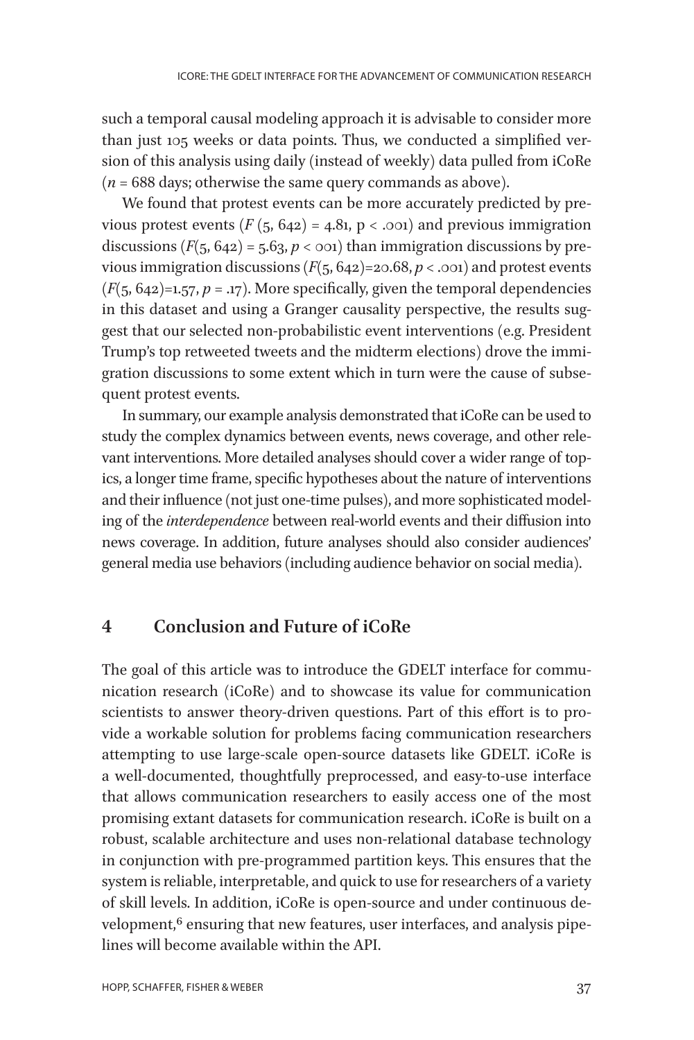such a temporal causal modeling approach it is advisable to consider more than just 105 weeks or data points. Thus, we conducted a simplified version of this analysis using daily (instead of weekly) data pulled from iCoRe (*n* = 688 days; otherwise the same query commands as above).

We found that protest events can be more accurately predicted by previous protest events  $(F(5, 642) = 4.81, p < .001)$  and previous immigration discussions  $(F(5, 642) = 5.63, p < 0.01)$  than immigration discussions by previous immigration discussions  $(F(5, 642)=20.68, p < .001)$  and protest events  $(F(5, 642)=1.57, p=.17)$ . More specifically, given the temporal dependencies in this dataset and using a Granger causality perspective, the results suggest that our selected non-probabilistic event interventions (e.g. President Trump's top retweeted tweets and the midterm elections) drove the immigration discussions to some extent which in turn were the cause of subsequent protest events.

In summary, our example analysis demonstrated that iCoRe can be used to study the complex dynamics between events, news coverage, and other relevant interventions. More detailed analyses should cover a wider range of topics, a longer time frame, specific hypotheses about the nature of interventions and their influence (not just one-time pulses), and more sophisticated modeling of the *interdependence* between real-world events and their diffusion into news coverage. In addition, future analyses should also consider audiences' general media use behaviors (including audience behavior on social media).

## **4 Conclusion and Future of iCoRe**

The goal of this article was to introduce the GDELT interface for communication research (iCoRe) and to showcase its value for communication scientists to answer theory-driven questions. Part of this effort is to provide a workable solution for problems facing communication researchers attempting to use large-scale open-source datasets like GDELT. iCoRe is a well-documented, thoughtfully preprocessed, and easy-to-use interface that allows communication researchers to easily access one of the most promising extant datasets for communication research. iCoRe is built on a robust, scalable architecture and uses non-relational database technology in conjunction with pre-programmed partition keys. This ensures that the system is reliable, interpretable, and quick to use for researchers of a variety of skill levels. In addition, iCoRe is open-source and under continuous development,<sup>6</sup> ensuring that new features, user interfaces, and analysis pipelines will become available within the API.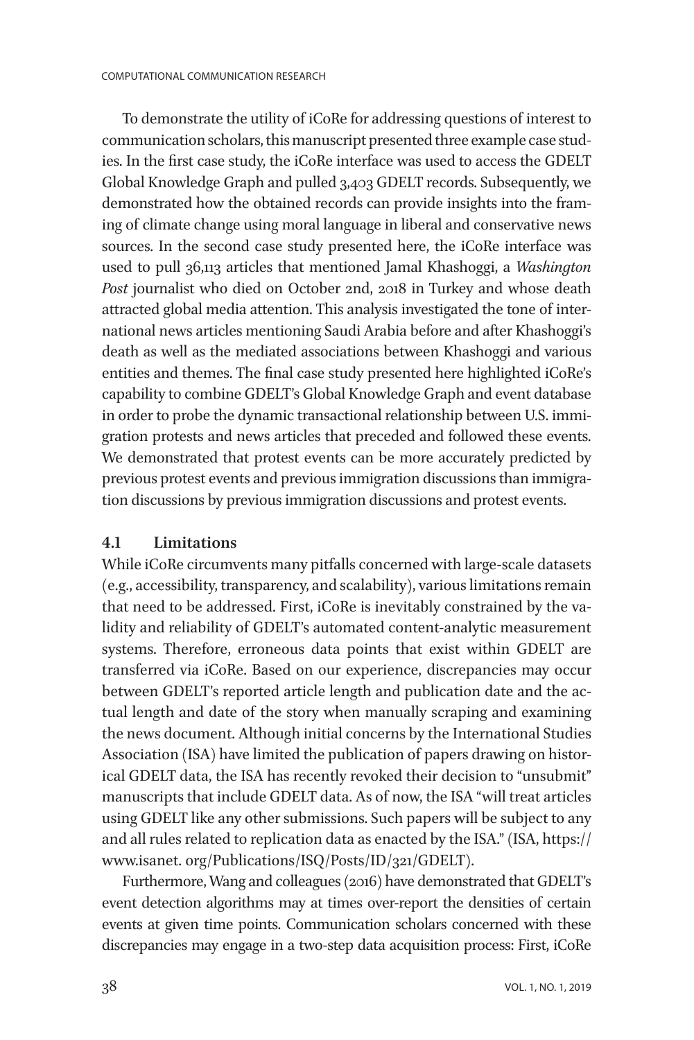To demonstrate the utility of iCoRe for addressing questions of interest to communication scholars, this manuscript presented three example case studies. In the first case study, the iCoRe interface was used to access the GDELT Global Knowledge Graph and pulled 3,403 GDELT records. Subsequently, we demonstrated how the obtained records can provide insights into the framing of climate change using moral language in liberal and conservative news sources. In the second case study presented here, the iCoRe interface was used to pull 36,113 articles that mentioned Jamal Khashoggi, a *Washington Post* journalist who died on October 2nd, 2018 in Turkey and whose death attracted global media attention. This analysis investigated the tone of international news articles mentioning Saudi Arabia before and after Khashoggi's death as well as the mediated associations between Khashoggi and various entities and themes. The final case study presented here highlighted iCoRe's capability to combine GDELT's Global Knowledge Graph and event database in order to probe the dynamic transactional relationship between U.S. immigration protests and news articles that preceded and followed these events. We demonstrated that protest events can be more accurately predicted by previous protest events and previous immigration discussions than immigration discussions by previous immigration discussions and protest events.

### **4.1 Limitations**

While iCoRe circumvents many pitfalls concerned with large-scale datasets (e.g., accessibility, transparency, and scalability), various limitations remain that need to be addressed. First, iCoRe is inevitably constrained by the validity and reliability of GDELT's automated content-analytic measurement systems. Therefore, erroneous data points that exist within GDELT are transferred via iCoRe. Based on our experience, discrepancies may occur between GDELT's reported article length and publication date and the actual length and date of the story when manually scraping and examining the news document. Although initial concerns by the International Studies Association (ISA) have limited the publication of papers drawing on historical GDELT data, the ISA has recently revoked their decision to "unsubmit" manuscripts that include GDELT data. As of now, the ISA "will treat articles using GDELT like any other submissions. Such papers will be subject to any and all rules related to replication data as enacted by the ISA." (ISA, https:// www.isanet. org/Publications/ISQ/Posts/ID/321/GDELT).

Furthermore, [Wang and colleagues \(2016](#page-31-6)) have demonstrated that GDELT's event detection algorithms may at times over-report the densities of certain events at given time points. Communication scholars concerned with these discrepancies may engage in a two-step data acquisition process: First, iCoRe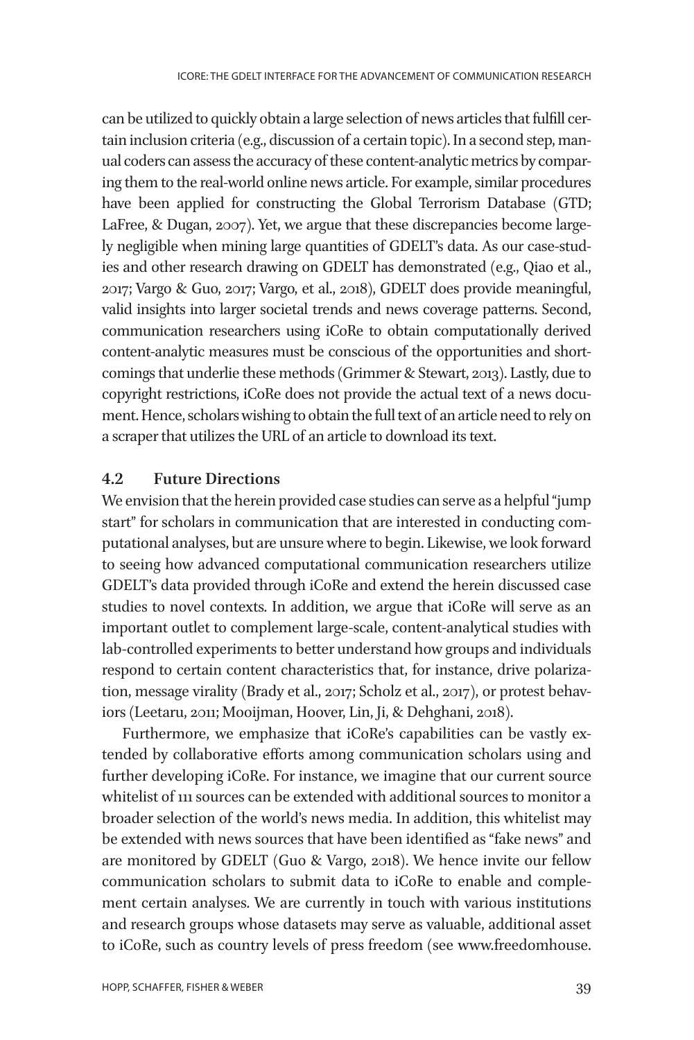can be utilized to quickly obtain a large selection of news articles that fulfill certain inclusion criteria (e.g., discussion of a certain topic). In a second step, manual coders can assess the accuracy of these content-analytic metrics by comparing them to the real-world online news article. For example, similar procedures have been applied for constructing the Global Terrorism Database (GTD; [LaFree, & Dugan, 2007](#page-29-15)). Yet, we argue that these discrepancies become largely negligible when mining large quantities of GDELT's data. As our case-studies and other research drawing on GDELT has demonstrated (e.g., [Qiao et al.,](#page-30-5) [2017](#page-30-5); [Vargo & Guo, 2017;](#page-31-4) [Vargo, et al., 2018](#page-31-5)), GDELT does provide meaningful, valid insights into larger societal trends and news coverage patterns. Second, communication researchers using iCoRe to obtain computationally derived content-analytic measures must be conscious of the opportunities and shortcomings that underlie these methods ([Grimmer & Stewart, 2013](#page-29-3)). Lastly, due to copyright restrictions, iCoRe does not provide the actual text of a news document. Hence, scholars wishing to obtain the full text of an article need to rely on a scraper that utilizes the URL of an article to download its text.

## **4.2 Future Directions**

We envision that the herein provided case studies can serve as a helpful "jump start" for scholars in communication that are interested in conducting computational analyses, but are unsure where to begin. Likewise, we look forward to seeing how advanced computational communication researchers utilize GDELT's data provided through iCoRe and extend the herein discussed case studies to novel contexts. In addition, we argue that iCoRe will serve as an important outlet to complement large-scale, content-analytical studies with lab-controlled experiments to better understand how groups and individuals respond to certain content characteristics that, for instance, drive polarization, message virality [\(Brady et al., 2017;](#page-28-14) [Scholz et al., 2017\)](#page-30-12), or protest behaviors ([Leetaru, 2011;](#page-29-6) [Mooijman, Hoover, Lin, Ji, & Dehghani, 2018\)](#page-30-17).

Furthermore, we emphasize that iCoRe's capabilities can be vastly extended by collaborative efforts among communication scholars using and further developing iCoRe. For instance, we imagine that our current source whitelist of 111 sources can be extended with additional sources to monitor a broader selection of the world's news media. In addition, this whitelist may be extended with news sources that have been identified as "fake news" and are monitored by GDELT (Guo & [Vargo, 2018](#page-31-5)). We hence invite our fellow communication scholars to submit data to iCoRe to enable and complement certain analyses. We are currently in touch with various institutions and research groups whose datasets may serve as valuable, additional asset to iCoRe, such as country levels of press freedom (see [www.freedomhouse.](www.freedomhouse.org)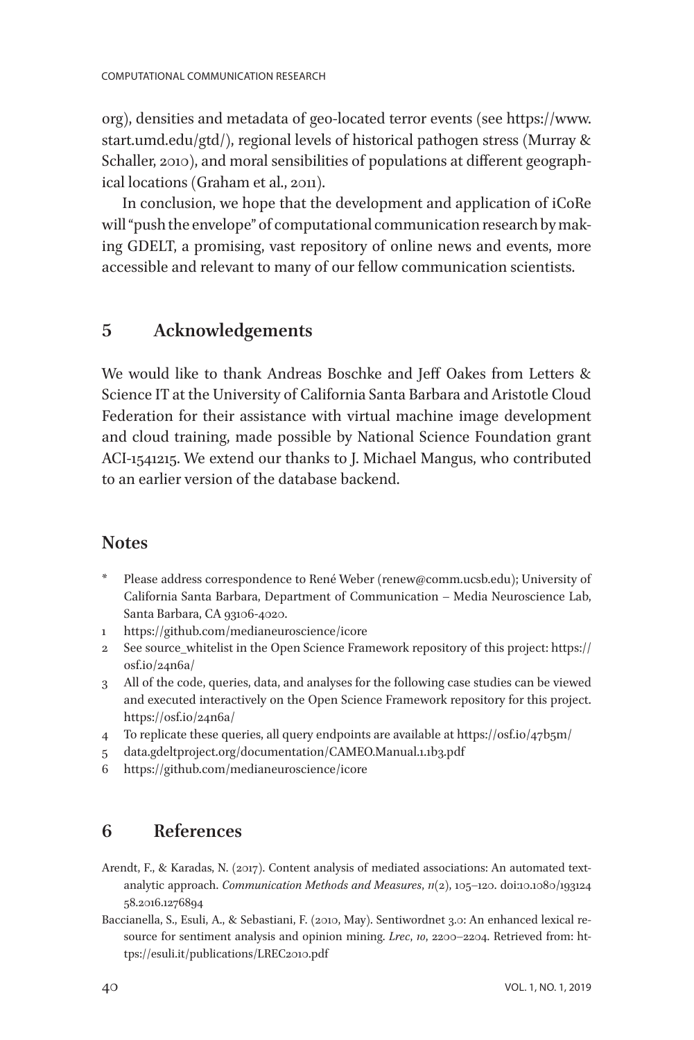[org\)](www.freedomhouse.org), densities and metadata of geo-located terror events (see [https://www.](https://www.start.umd.edu/gtd/) [start.umd.edu/gtd/\)](https://www.start.umd.edu/gtd/), regional levels of historical pathogen stress ([Murray &](#page-30-18) [Schaller, 2010\)](#page-30-18), and moral sensibilities of populations at different geographical locations [\(Graham et al., 2011\)](#page-29-16).

In conclusion, we hope that the development and application of iCoRe will "push the envelope" of computational communication research by making GDELT, a promising, vast repository of online news and events, more accessible and relevant to many of our fellow communication scientists.

## **5 Acknowledgements**

We would like to thank Andreas Boschke and Jeff Oakes from Letters & Science IT at the University of California Santa Barbara and Aristotle Cloud Federation for their assistance with virtual machine image development and cloud training, made possible by National Science Foundation grant ACI-1541215. We extend our thanks to J. Michael Mangus, who contributed to an earlier version of the database backend.

## **Notes**

- Please address correspondence to René Weber (renew@comm.ucsb.edu); University of California Santa Barbara, Department of Communication – Media Neuroscience Lab, Santa Barbara, CA 93106-4020.
- <span id="page-27-2"></span>1 <https://github.com/medianeuroscience/icore>
- <span id="page-27-3"></span>2 See source\_whitelist in the Open Science Framework repository of this project: [https://](https://osf.io/24n6a/) [osf.io/24n6a/](https://osf.io/24n6a/)
- <span id="page-27-4"></span>3 All of the code, queries, data, and analyses for the following case studies can be viewed and executed interactively on the Open Science Framework repository for this project. <https://osf.io/24n6a/>
- <span id="page-27-5"></span>4 To replicate these queries, all query endpoints are available at <https://osf.io/47b5m/>
- <span id="page-27-0"></span>5 data.gdeltproject.org/documentation/CAMEO.Manual.1.1b3.pdf
- <span id="page-27-7"></span>6 <https://github.com/medianeuroscience/icore>

## **6 References**

<span id="page-27-6"></span>Arendt, F., & Karadas, N. (2017). Content analysis of mediated associations: An automated textanalytic approach. *Communication Methods and Measures*, *11*(2), 105–120. [doi:10.1080/193124](doi) [58.2016.1276894](doi)

<span id="page-27-1"></span>Baccianella, S., Esuli, A., & Sebastiani, F. (2010, May). Sentiwordnet 3.0: An enhanced lexical resource for sentiment analysis and opinion mining. *Lrec*, *10*, 2200–2204. Retrieved from: [ht](https://esuli.it/publications/LREC2010.pdf)[tps://esuli.it/publications/LREC2010.pdf](https://esuli.it/publications/LREC2010.pdf)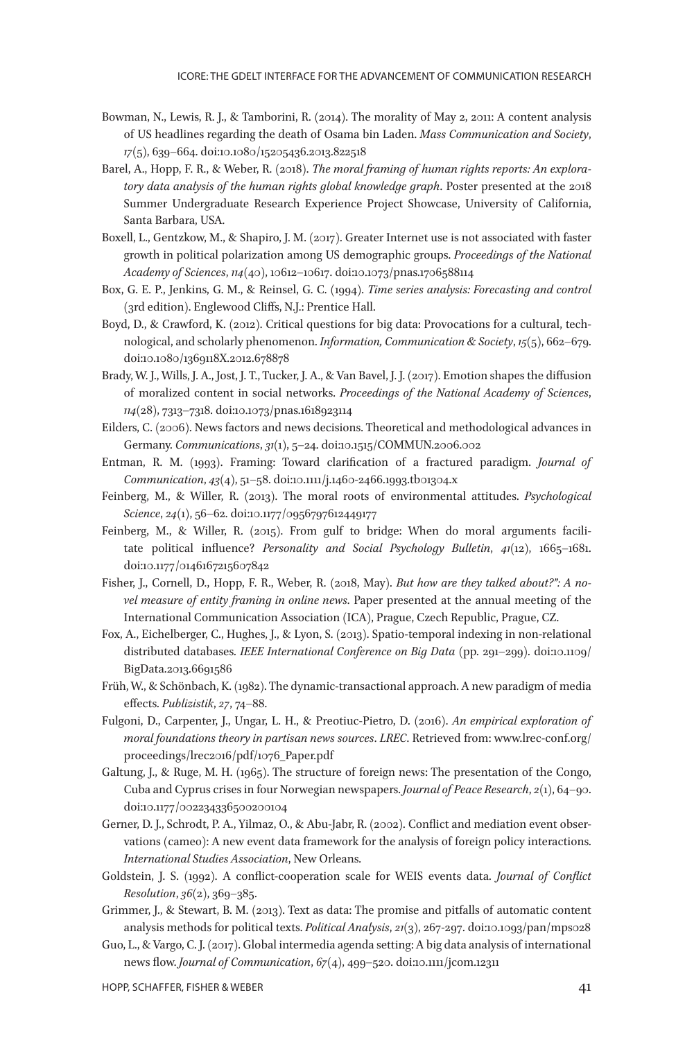- <span id="page-28-11"></span>Bowman, N., Lewis, R. J., & Tamborini, R. (2014). The morality of May 2, 2011: A content analysis of US headlines regarding the death of Osama bin Laden. *Mass Communication and Society*, *17*(5), 639–664. [doi:10.1080/15205436.2013.822518](doi)
- Barel, A., Hopp, F. R., & Weber, R. (2018). *The moral framing of human rights reports: An exploratory data analysis of the human rights global knowledge graph*. Poster presented at the 2018 Summer Undergraduate Research Experience Project Showcase, University of California, Santa Barbara, USA.
- <span id="page-28-4"></span>Boxell, L., Gentzkow, M., & Shapiro, J. M. (2017). Greater Internet use is not associated with faster growth in political polarization among US demographic groups. *Proceedings of the National Academy of Sciences*, *114*(40), 10612–10617. [doi:10.1073/pnas.1706588114](doi)
- <span id="page-28-13"></span>Box, G. E. P., Jenkins, G. M., & Reinsel, G. C. (1994). *Time series analysis: Forecasting and control* (3rd edition). Englewood Cliffs, N.J.: Prentice Hall.
- <span id="page-28-1"></span>Boyd, D., & Crawford, K. (2012). Critical questions for big data: Provocations for a cultural, technological, and scholarly phenomenon. *Information, Communication & Society*, *15*(5), 662–679. [doi:10.1080/1369118X.2012.678878](doi)
- <span id="page-28-14"></span>Brady, W. J., Wills, J. A., Jost, J. T., Tucker, J. A., & Van Bavel, J. J. (2017). Emotion shapes the diffusion of moralized content in social networks. *Proceedings of the National Academy of Sciences*, *114*(28), 7313–7318. [doi:10.1073/pnas.1618923114](doi)
- <span id="page-28-6"></span>Eilders, C. (2006). News factors and news decisions. Theoretical and methodological advances in Germany. *Communications*, *31*(1), 5–24. [doi:10.1515/COMMUN.2006.002](doi)
- <span id="page-28-0"></span>Entman, R. M. (1993). Framing: Toward clarification of a fractured paradigm. *Journal of Communication*, *43*(4), 51–58. [doi:10.1111/j.1460-2466.1993.tb01304.x](doi)
- <span id="page-28-9"></span>Feinberg, M., & Willer, R. (2013). The moral roots of environmental attitudes. *Psychological Science*, *24*(1), 56–62. [doi:10.1177/0956797612449177](doi)
- <span id="page-28-10"></span>Feinberg, M., & Willer, R. (2015). From gulf to bridge: When do moral arguments facilitate political influence? *Personality and Social Psychology Bulletin*, *41*(12), 1665–1681. [doi:10.1177/0146167215607842](doi)
- Fisher, J., Cornell, D., Hopp, F. R., Weber, R. (2018, May). *But how are they talked about?": A novel measure of entity framing in online news*. Paper presented at the annual meeting of the International Communication Association (ICA), Prague, Czech Republic, Prague, CZ.
- <span id="page-28-8"></span>Fox, A., Eichelberger, C., Hughes, J., & Lyon, S. (2013). Spatio-temporal indexing in non-relational distributed databases. *IEEE International Conference on Big Data* (pp. 291–299). [doi:10.1109/](doi) [BigData.2013.6691586](doi)
- <span id="page-28-7"></span>Früh, W., & Schönbach, K. (1982). The dynamic-transactional approach. A new paradigm of media effects. *Publizistik*, *27*, 74–88.
- <span id="page-28-3"></span>Fulgoni, D., Carpenter, J., Ungar, L. H., & Preotiuc-Pietro, D. (2016). *An empirical exploration of moral foundations theory in partisan news sources*. *LREC*. Retrieved from: [www.lrec-conf.org/](www.lrec-conf.org/proceedings/lrec2016/pdf/1076_Paper.pdf) [proceedings/lrec2016/pdf/1076\\_Paper.pdf](www.lrec-conf.org/proceedings/lrec2016/pdf/1076_Paper.pdf)
- <span id="page-28-12"></span>Galtung, J., & Ruge, M. H. (1965). The structure of foreign news: The presentation of the Congo, Cuba and Cyprus crises in four Norwegian newspapers. *Journal of Peace Research*, *2*(1), 64–90. [doi:10.1177/002234336500200104](doi)
- <span id="page-28-2"></span>Gerner, D. J., Schrodt, P. A., Yilmaz, O., & Abu-Jabr, R. (2002). Conflict and mediation event observations (cameo): A new event data framework for the analysis of foreign policy interactions. *International Studies Association*, New Orleans.
- <span id="page-28-5"></span>Goldstein, J. S. (1992). A conflict-cooperation scale for WEIS events data. *Journal of Conflict Resolution*, *36*(2), 369–385.
- Grimmer, J., & Stewart, B. M. (2013). Text as data: The promise and pitfalls of automatic content analysis methods for political texts. *Political Analysis*, *21*(3), 267-297. [doi:10.1093/pan/mps028](doi)
- Guo, L., & Vargo, C. J. (2017). Global intermedia agenda setting: A big data analysis of international news flow. *Journal of Communication*, *67*(4), 499–520. [doi:10.1111/jcom.12311](doi)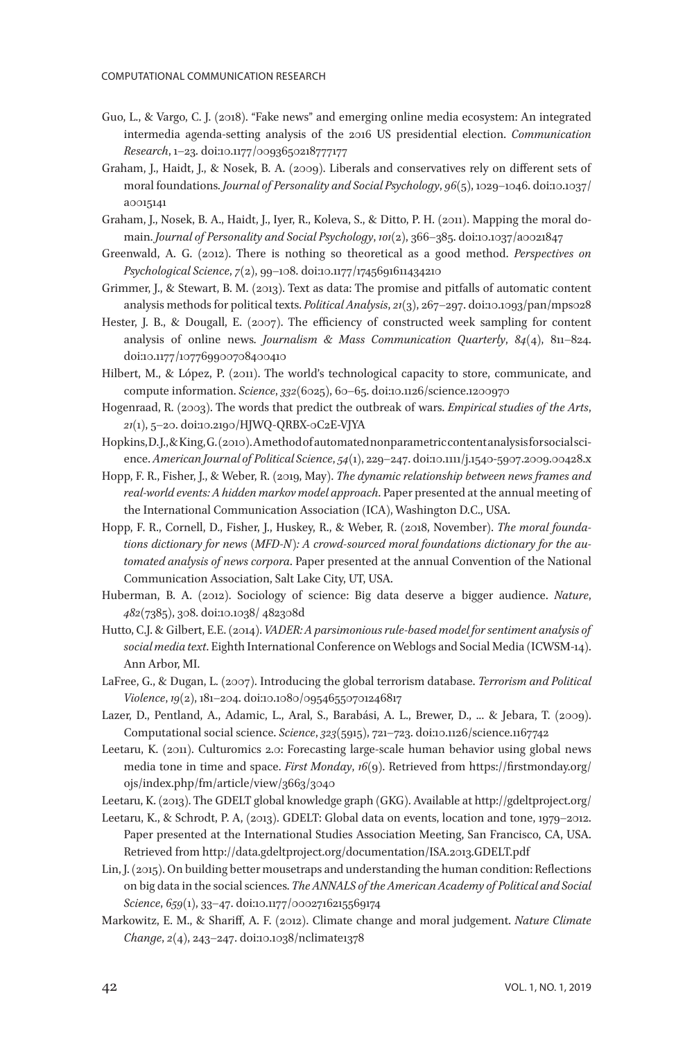- Guo, L., & Vargo, C. J. (2018). "Fake news" and emerging online media ecosystem: An integrated intermedia agenda-setting analysis of the 2016 US presidential election. *Communication Research*, 1–23. [doi:10.1177/0093650218777177](doi)
- <span id="page-29-10"></span>Graham, J., Haidt, J., & Nosek, B. A. (2009). Liberals and conservatives rely on different sets of moral foundations. *Journal of Personality and Social Psychology*, *96*(5), 1029–1046. [doi:10.1037/](doi) [a0015141](doi)
- <span id="page-29-16"></span>Graham, J., Nosek, B. A., Haidt, J., Iyer, R., Koleva, S., & Ditto, P. H. (2011). Mapping the moral domain. *Journal of Personality and Social Psychology*, *101*(2), 366–385. [doi:10.1037/a0021847](doi)
- <span id="page-29-7"></span>Greenwald, A. G. (2012). There is nothing so theoretical as a good method. *Perspectives on Psychological Science*, *7*(2), 99–108. [doi:10.1177/1745691611434210](doi)
- <span id="page-29-3"></span>Grimmer, J., & Stewart, B. M. (2013). Text as data: The promise and pitfalls of automatic content analysis methods for political texts. *Political Analysis*, *21*(3), 267–297. [doi:10.1093/pan/mps028](doi)
- <span id="page-29-1"></span>Hester, J. B., & Dougall, E.  $(2007)$ . The efficiency of constructed week sampling for content analysis of online news. *Journalism & Mass Communication Quarterly*, *84*(4), 811–824. [doi:10.1177/107769900708400410](doi)
- <span id="page-29-9"></span>Hilbert, M., & López, P. (2011). The world's technological capacity to store, communicate, and compute information. *Science*, *332*(6025), 60–65. [doi:10.1126/science.1200970](doi)
- <span id="page-29-11"></span>Hogenraad, R. (2003). The words that predict the outbreak of wars. *Empirical studies of the Arts*, *21*(1), 5–20. [doi:10.2190/HJWQ-QRBX-0C2E-VJYA](doi)
- <span id="page-29-2"></span>Hopkins, D.J., & King, G. (2010). A method of automated nonparametric content analysis for social science. *American Journal of Political Science*, *54*(1), 229–247. [doi:10.1111/j.1540-5907.2009.00428.x](doi)
- <span id="page-29-14"></span>Hopp, F. R., Fisher, J., & Weber, R. (2019, May). *The dynamic relationship between news frames and real-world events: A hidden markov model approach*. Paper presented at the annual meeting of the International Communication Association (ICA), Washington D.C., USA.
- Hopp, F. R., Cornell, D., Fisher, J., Huskey, R., & Weber, R. (2018, November). *The moral foundations dictionary for news (MFD-N): A crowd-sourced moral foundations dictionary for the automated analysis of news corpora*. Paper presented at the annual Convention of the National Communication Association, Salt Lake City, UT, USA.
- <span id="page-29-4"></span>Huberman, B. A. (2012). Sociology of science: Big data deserve a bigger audience. *Nature*, *482*(7385), 308. [doi:10.1038/ 482308d](doi)
- <span id="page-29-12"></span>Hutto, C.J. & Gilbert, E.E. (2014). *VADER: A parsimonious rule-based model for sentiment analysis of social media text*. Eighth International Conference on Weblogs and Social Media (ICWSM-14). Ann Arbor, MI.
- <span id="page-29-15"></span>LaFree, G., & Dugan, L. (2007). Introducing the global terrorism database. *Terrorism and Political Violence*, *19*(2), 181–204. [doi:10.1080/09546550701246817](doi)
- <span id="page-29-5"></span>Lazer, D., Pentland, A., Adamic, L., Aral, S., Barabási, A. L., Brewer, D., ... & Jebara, T. (2009). Computational social science. *Science*, *323*(5915), 721–723. [doi:10.1126/science.1167742](doi)
- <span id="page-29-6"></span>Leetaru, K. (2011). Culturomics 2.0: Forecasting large-scale human behavior using global news media tone in time and space. *First Monday*, *16*(9). Retrieved from [https://firstmonday.org/](https://firstmonday.org/ojs/index.php/fm/article/view/3663/3040) [ojs/index.php/fm/article/view/3663/3040](https://firstmonday.org/ojs/index.php/fm/article/view/3663/3040)
- Leetaru, K. (2013). The GDELT global knowledge graph (GKG). Available at <http://gdeltproject.org/>
- <span id="page-29-0"></span>Leetaru, K., & Schrodt, P. A, (2013). GDELT: Global data on events, location and tone, 1979–2012. Paper presented at the International Studies Association Meeting, San Francisco, CA, USA. Retrieved from<http://data.gdeltproject.org/documentation/ISA.2013.GDELT.pdf>
- <span id="page-29-8"></span>Lin, J. (2015). On building better mousetraps and understanding the human condition: Reflections on big data in the social sciences. *The ANNALS of the American Academy of Political and Social Science*, *659*(1), 33–47. [doi:10.1177/0002716215569174](doi)
- <span id="page-29-13"></span>Markowitz, E. M., & Shariff, A. F. (2012). Climate change and moral judgement. *Nature Climate Change*, *2*(4), 243–247. [doi:10.1038/nclimate1378](doi)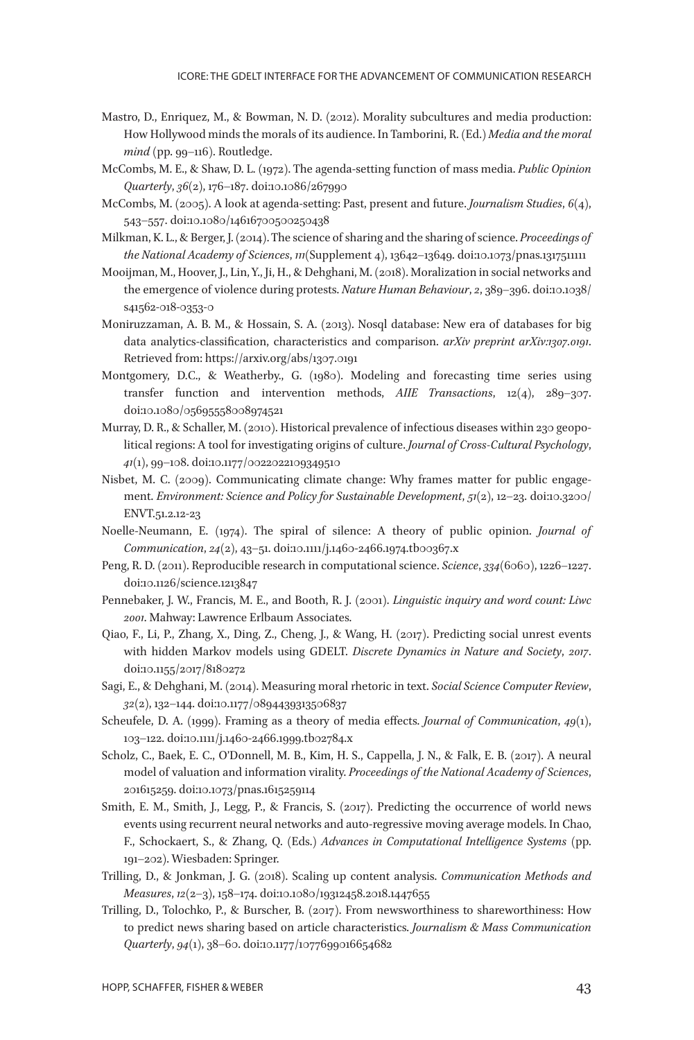- <span id="page-30-15"></span>Mastro, D., Enriquez, M., & Bowman, N. D. (2012). Morality subcultures and media production: How Hollywood minds the morals of its audience. In Tamborini, R. (Ed.) *Media and the moral mind* (pp. 99–116). Routledge.
- <span id="page-30-1"></span>McCombs, M. E., & Shaw, D. L. (1972). The agenda-setting function of mass media. *Public Opinion Quarterly*, *36*(2), 176–187. [doi:10.1086/267990](doi)
- <span id="page-30-2"></span>McCombs, M. (2005). A look at agenda-setting: Past, present and future. *Journalism Studies*, *6*(4), 543–557. [doi:10.1080/14616700500250438](doi)
- <span id="page-30-11"></span>Milkman, K. L., & Berger, J. (2014). The science of sharing and the sharing of science. *Proceedings of the National Academy of Sciences*, *111*(Supplement 4), 13642–13649. [doi:10.1073/pnas.1317511111](doi)
- <span id="page-30-17"></span>Mooijman, M., Hoover, J., Lin, Y., Ji, H., & Dehghani, M. (2018). Moralization in social networks and the emergence of violence during protests. *Nature Human Behaviour*, *2*, 389–396. [doi:10.1038/](doi) [s41562-018-0353-0](doi)
- <span id="page-30-14"></span>Moniruzzaman, A. B. M., & Hossain, S. A. (2013). Nosql database: New era of databases for big data analytics-classification, characteristics and comparison. *arXiv preprint arXiv:1307.0191*. Retrieved from: <https://arxiv.org/abs/1307.0191>
- <span id="page-30-16"></span>Montgomery, D.C., & Weatherby., G. (1980). Modeling and forecasting time series using transfer function and intervention methods, *AIIE Transactions*, 12(4), 289–307. [doi:10.1080/05695558008974521](doi)
- <span id="page-30-18"></span>Murray, D. R., & Schaller, M. (2010). Historical prevalence of infectious diseases within 230 geopolitical regions: A tool for investigating origins of culture. *Journal of Cross-Cultural Psychology*, *41*(1), 99–108. [doi:10.1177/0022022109349510](doi)
- <span id="page-30-10"></span>Nisbet, M. C. (2009). Communicating climate change: Why frames matter for public engagement. *Environment: Science and Policy for Sustainable Development*, *51*(2), 12–23. [doi:10.3200/](doi) [ENVT.51.2.12-23](doi)
- <span id="page-30-3"></span>Noelle-Neumann, E. (1974). The spiral of silence: A theory of public opinion. *Journal of Communication*, *24*(2), 43–51. [doi:10.1111/j.1460-2466.1974.tb00367.x](doi)
- <span id="page-30-4"></span>Peng, R. D. (2011). Reproducible research in computational science. *Science*, *334*(6060), 1226–1227. [doi:10.1126/science.1213847](doi)
- <span id="page-30-8"></span>Pennebaker, J. W., Francis, M. E., and Booth, R. J. (2001). *Linguistic inquiry and word count: Liwc 2001*. Mahway: Lawrence Erlbaum Associates.
- <span id="page-30-5"></span>Qiao, F., Li, P., Zhang, X., Ding, Z., Cheng, J., & Wang, H. (2017). Predicting social unrest events with hidden Markov models using GDELT. *Discrete Dynamics in Nature and Society*, *2017*. [doi:10.1155/2017/8180272](doi)
- <span id="page-30-9"></span>Sagi, E., & Dehghani, M. (2014). Measuring moral rhetoric in text. *Social Science Computer Review*, *32*(2), 132–144. [doi:10.1177/0894439313506837](doi)
- <span id="page-30-0"></span>Scheufele, D. A. (1999). Framing as a theory of media effects. *Journal of Communication*, *49*(1), 103–122. [doi:10.1111/j.1460-2466.1999.tb02784.x](doi)
- <span id="page-30-12"></span>Scholz, C., Baek, E. C., O'Donnell, M. B., Kim, H. S., Cappella, J. N., & Falk, E. B. (2017). A neural model of valuation and information virality. *Proceedings of the National Academy of Sciences*, 201615259. [doi:10.1073/pnas.1615259114](doi)
- <span id="page-30-6"></span>Smith, E. M., Smith, J., Legg, P., & Francis, S. (2017). Predicting the occurrence of world news events using recurrent neural networks and auto-regressive moving average models. In Chao, F., Schockaert, S., & Zhang, Q. (Eds.) *Advances in Computational Intelligence Systems* (pp. 191–202). Wiesbaden: Springer.
- <span id="page-30-7"></span>Trilling, D., & Jonkman, J. G. (2018). Scaling up content analysis. *Communication Methods and Measures*, *12*(2–3), 158–174. [doi:10.1080/19312458.2018.1447655](doi)
- <span id="page-30-13"></span>Trilling, D., Tolochko, P., & Burscher, B. (2017). From newsworthiness to shareworthiness: How to predict news sharing based on article characteristics. *Journalism & Mass Communication Quarterly*, *94*(1), 38–60. [doi:10.1177/1077699016654682](doi)